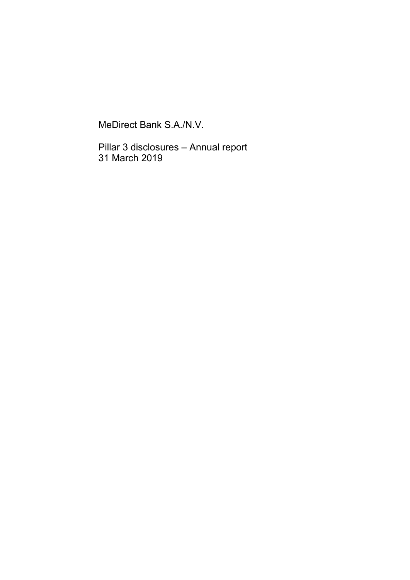MeDirect Bank S.A./N.V.

Pillar 3 disclosures – Annual report 31 March 2019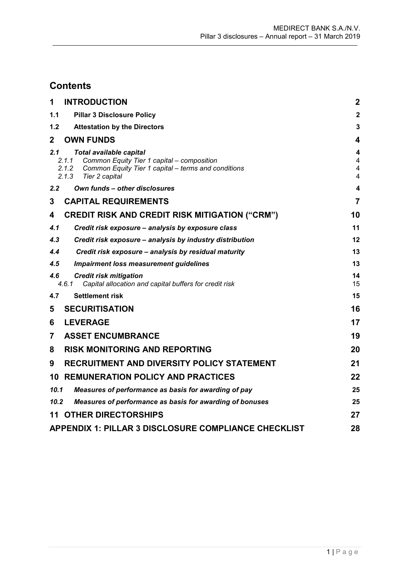# **Contents**

| 1            | <b>INTRODUCTION</b>                                                                                                                                                       | $\mathbf 2$                                         |
|--------------|---------------------------------------------------------------------------------------------------------------------------------------------------------------------------|-----------------------------------------------------|
| 1.1          | <b>Pillar 3 Disclosure Policy</b>                                                                                                                                         | $\mathbf{2}$                                        |
| $1.2$        | <b>Attestation by the Directors</b>                                                                                                                                       | 3                                                   |
| $\mathbf{2}$ | <b>OWN FUNDS</b>                                                                                                                                                          | $\overline{\mathbf{4}}$                             |
| 2.1          | Total available capital<br>Common Equity Tier 1 capital - composition<br>2.1.1<br>2.1.2<br>Common Equity Tier 1 capital - terms and conditions<br>2.1.3<br>Tier 2 capital | 4<br>$\overline{\mathbf{4}}$<br>$\overline{4}$<br>4 |
| 2.2          | Own funds - other disclosures                                                                                                                                             | 4                                                   |
| 3            | <b>CAPITAL REQUIREMENTS</b>                                                                                                                                               | $\overline{7}$                                      |
| 4            | <b>CREDIT RISK AND CREDIT RISK MITIGATION ("CRM")</b>                                                                                                                     | 10                                                  |
| 4.1          | Credit risk exposure - analysis by exposure class                                                                                                                         | 11                                                  |
| 4.3          | Credit risk exposure – analysis by industry distribution                                                                                                                  | 12                                                  |
| 4.4          | Credit risk exposure - analysis by residual maturity                                                                                                                      | 13                                                  |
| 4.5          | <b>Impairment loss measurement guidelines</b>                                                                                                                             | 13                                                  |
| 4.6          | <b>Credit risk mitigation</b><br>4.6.1<br>Capital allocation and capital buffers for credit risk                                                                          | 14<br>15                                            |
| 4.7          | <b>Settlement risk</b>                                                                                                                                                    | 15                                                  |
| 5            | <b>SECURITISATION</b>                                                                                                                                                     | 16                                                  |
| 6            | <b>LEVERAGE</b>                                                                                                                                                           | 17                                                  |
| 7            | <b>ASSET ENCUMBRANCE</b>                                                                                                                                                  | 19                                                  |
| 8            | <b>RISK MONITORING AND REPORTING</b>                                                                                                                                      | 20                                                  |
| 9            | RECRUITMENT AND DIVERSITY POLICY STATEMENT                                                                                                                                | 21                                                  |
| 10           | <b>REMUNERATION POLICY AND PRACTICES</b>                                                                                                                                  | 22                                                  |
| 10.1         | Measures of performance as basis for awarding of pay                                                                                                                      | 25                                                  |
| 10.2         | Measures of performance as basis for awarding of bonuses                                                                                                                  | 25                                                  |
| 11           | <b>OTHER DIRECTORSHIPS</b>                                                                                                                                                | 27                                                  |
|              | APPENDIX 1: PILLAR 3 DISCLOSURE COMPLIANCE CHECKLIST                                                                                                                      | 28                                                  |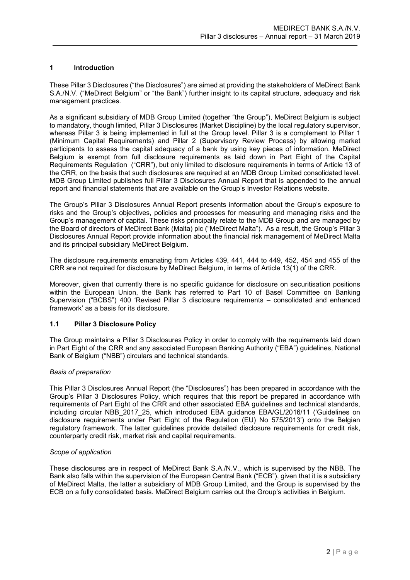### <span id="page-2-0"></span>**1 Introduction**

These Pillar 3 Disclosures ("the Disclosures") are aimed at providing the stakeholders of MeDirect Bank S.A./N.V. ("MeDirect Belgium" or "the Bank") further insight to its capital structure, adequacy and risk management practices.

As a significant subsidiary of MDB Group Limited (together "the Group"), MeDirect Belgium is subject to mandatory, though limited, Pillar 3 Disclosures (Market Discipline) by the local regulatory supervisor, whereas Pillar 3 is being implemented in full at the Group level. Pillar 3 is a complement to Pillar 1 (Minimum Capital Requirements) and Pillar 2 (Supervisory Review Process) by allowing market participants to assess the capital adequacy of a bank by using key pieces of information. MeDirect Belgium is exempt from full disclosure requirements as laid down in Part Eight of the Capital Requirements Regulation ("CRR"), but only limited to disclosure requirements in terms of Article 13 of the CRR, on the basis that such disclosures are required at an MDB Group Limited consolidated level. MDB Group Limited publishes full Pillar 3 Disclosures Annual Report that is appended to the annual report and financial statements that are available on the Group's Investor Relations website.

The Group's Pillar 3 Disclosures Annual Report presents information about the Group's exposure to risks and the Group's objectives, policies and processes for measuring and managing risks and the Group's management of capital. These risks principally relate to the MDB Group and are managed by the Board of directors of MeDirect Bank (Malta) plc ("MeDirect Malta"). As a result, the Group's Pillar 3 Disclosures Annual Report provide information about the financial risk management of MeDirect Malta and its principal subsidiary MeDirect Belgium.

The disclosure requirements emanating from Articles 439, 441, 444 to 449, 452, 454 and 455 of the CRR are not required for disclosure by MeDirect Belgium, in terms of Article 13(1) of the CRR.

Moreover, given that currently there is no specific guidance for disclosure on securitisation positions within the European Union, the Bank has referred to Part 10 of Basel Committee on Banking Supervision ("BCBS") 400 'Revised Pillar 3 disclosure requirements – consolidated and enhanced framework' as a basis for its disclosure.

### <span id="page-2-1"></span>**1.1 Pillar 3 Disclosure Policy**

The Group maintains a Pillar 3 Disclosures Policy in order to comply with the requirements laid down in Part Eight of the CRR and any associated European Banking Authority ("EBA") guidelines, National Bank of Belgium ("NBB") circulars and technical standards.

### *Basis of preparation*

This Pillar 3 Disclosures Annual Report (the "Disclosures") has been prepared in accordance with the Group's Pillar 3 Disclosures Policy, which requires that this report be prepared in accordance with requirements of Part Eight of the CRR and other associated EBA guidelines and technical standards, including circular NBB\_2017\_25, which introduced EBA guidance EBA/GL/2016/11 ('Guidelines on disclosure requirements under Part Eight of the Regulation (EU) No 575/2013') onto the Belgian regulatory framework. The latter guidelines provide detailed disclosure requirements for credit risk, counterparty credit risk, market risk and capital requirements.

### *Scope of application*

These disclosures are in respect of MeDirect Bank S.A./N.V., which is supervised by the NBB. The Bank also falls within the supervision of the European Central Bank ("ECB"), given that it is a subsidiary of MeDirect Malta, the latter a subsidiary of MDB Group Limited, and the Group is supervised by the ECB on a fully consolidated basis. MeDirect Belgium carries out the Group's activities in Belgium.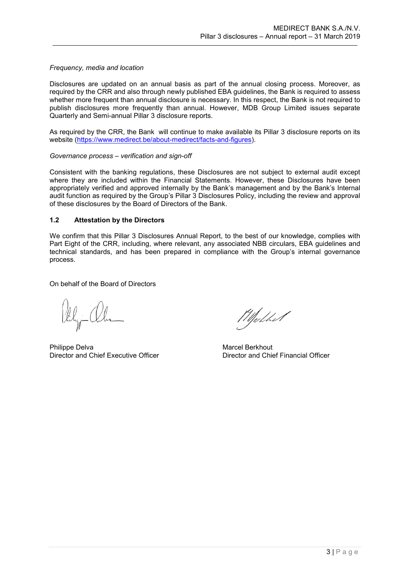### *Frequency, media and location*

Disclosures are updated on an annual basis as part of the annual closing process. Moreover, as required by the CRR and also through newly published EBA guidelines, the Bank is required to assess whether more frequent than annual disclosure is necessary. In this respect, the Bank is not required to publish disclosures more frequently than annual. However, MDB Group Limited issues separate Quarterly and Semi-annual Pillar 3 disclosure reports.

As required by the CRR, the Bank will continue to make available its Pillar 3 disclosure reports on its website [\(https://www.medirect.be/about-medirect/facts-and-figures\)](https://www.medirect.be/about-medirect/facts-and-figures).

### *Governance process – verification and sign-off*

Consistent with the banking regulations, these Disclosures are not subject to external audit except where they are included within the Financial Statements. However, these Disclosures have been appropriately verified and approved internally by the Bank's management and by the Bank's Internal audit function as required by the Group's Pillar 3 Disclosures Policy, including the review and approval of these disclosures by the Board of Directors of the Bank.

### <span id="page-3-0"></span>**1.2 Attestation by the Directors**

We confirm that this Pillar 3 Disclosures Annual Report, to the best of our knowledge, complies with Part Eight of the CRR, including, where relevant, any associated NBB circulars, EBA guidelines and technical standards, and has been prepared in compliance with the Group's internal governance process.

On behalf of the Board of Directors

Philippe Delva Marcel Berkhout Director and Chief Executive Officer **Director and Chief Financial Officer** Director and Chief Financial Officer

Wheether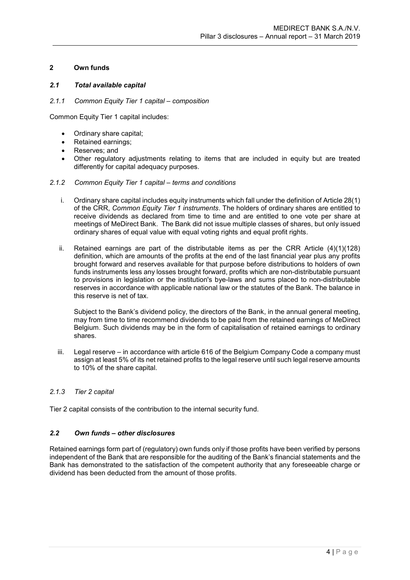### <span id="page-4-0"></span>**2 Own funds**

### <span id="page-4-1"></span>*2.1 Total available capital*

### <span id="page-4-2"></span>*2.1.1 Common Equity Tier 1 capital – composition*

Common Equity Tier 1 capital includes:

- Ordinary share capital;
- Retained earnings;
- Reserves; and
- Other regulatory adjustments relating to items that are included in equity but are treated differently for capital adequacy purposes.

### <span id="page-4-3"></span>*2.1.2 Common Equity Tier 1 capital – terms and conditions*

- i. Ordinary share capital includes equity instruments which fall under the definition of Article 28(1) of the CRR, *Common Equity Tier 1 instruments*. The holders of ordinary shares are entitled to receive dividends as declared from time to time and are entitled to one vote per share at meetings of MeDirect Bank. The Bank did not issue multiple classes of shares, but only issued ordinary shares of equal value with equal voting rights and equal profit rights.
- ii. Retained earnings are part of the distributable items as per the CRR Article (4)(1)(128) definition, which are amounts of the profits at the end of the last financial year plus any profits brought forward and reserves available for that purpose before distributions to holders of own funds instruments less any losses brought forward, profits which are non-distributable pursuant to provisions in legislation or the institution's bye-laws and sums placed to non-distributable reserves in accordance with applicable national law or the statutes of the Bank. The balance in this reserve is net of tax.

Subject to the Bank's dividend policy, the directors of the Bank, in the annual general meeting, may from time to time recommend dividends to be paid from the retained earnings of MeDirect Belgium. Such dividends may be in the form of capitalisation of retained earnings to ordinary shares.

iii. Legal reserve – in accordance with article 616 of the Belgium Company Code a company must assign at least 5% of its net retained profits to the legal reserve until such legal reserve amounts to 10% of the share capital.

### <span id="page-4-4"></span>*2.1.3 Tier 2 capital*

Tier 2 capital consists of the contribution to the internal security fund.

### <span id="page-4-5"></span>*2.2 Own funds – other disclosures*

Retained earnings form part of (regulatory) own funds only if those profits have been verified by persons independent of the Bank that are responsible for the auditing of the Bank's financial statements and the Bank has demonstrated to the satisfaction of the competent authority that any foreseeable charge or dividend has been deducted from the amount of those profits.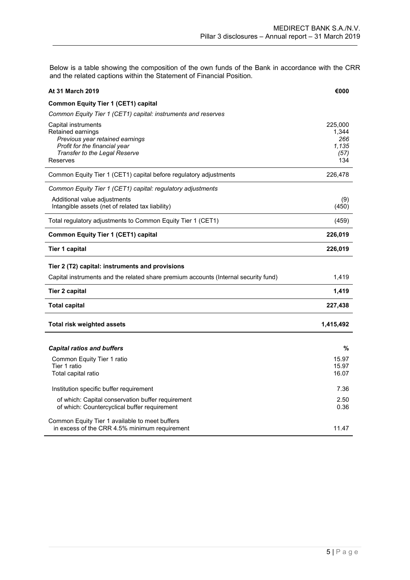Below is a table showing the composition of the own funds of the Bank in accordance with the CRR and the related captions within the Statement of Financial Position.

| <b>At 31 March 2019</b>                                                                                                                                   | €000                                            |
|-----------------------------------------------------------------------------------------------------------------------------------------------------------|-------------------------------------------------|
| <b>Common Equity Tier 1 (CET1) capital</b>                                                                                                                |                                                 |
| Common Equity Tier 1 (CET1) capital: instruments and reserves                                                                                             |                                                 |
| Capital instruments<br>Retained earnings<br>Previous year retained earnings<br>Profit for the financial year<br>Transfer to the Legal Reserve<br>Reserves | 225,000<br>1,344<br>266<br>1,135<br>(57)<br>134 |
| Common Equity Tier 1 (CET1) capital before regulatory adjustments                                                                                         | 226,478                                         |
| Common Equity Tier 1 (CET1) capital: regulatory adjustments                                                                                               |                                                 |
| Additional value adjustments<br>Intangible assets (net of related tax liability)                                                                          | (9)<br>(450)                                    |
| Total regulatory adjustments to Common Equity Tier 1 (CET1)                                                                                               | (459)                                           |
| <b>Common Equity Tier 1 (CET1) capital</b>                                                                                                                | 226,019                                         |
| <b>Tier 1 capital</b>                                                                                                                                     | 226,019                                         |
| Tier 2 (T2) capital: instruments and provisions                                                                                                           |                                                 |
| Capital instruments and the related share premium accounts (Internal security fund)                                                                       | 1,419                                           |
| Tier 2 capital                                                                                                                                            | 1,419                                           |
| <b>Total capital</b>                                                                                                                                      | 227,438                                         |
| <b>Total risk weighted assets</b>                                                                                                                         | 1,415,492                                       |
|                                                                                                                                                           |                                                 |
| <b>Capital ratios and buffers</b>                                                                                                                         | %                                               |
| Common Equity Tier 1 ratio<br>Tier 1 ratio<br>Total capital ratio                                                                                         | 15.97<br>15.97<br>16.07                         |
| Institution specific buffer requirement                                                                                                                   | 7.36                                            |
| of which: Capital conservation buffer requirement<br>of which: Countercyclical buffer requirement                                                         | 2.50<br>0.36                                    |
| Common Equity Tier 1 available to meet buffers                                                                                                            |                                                 |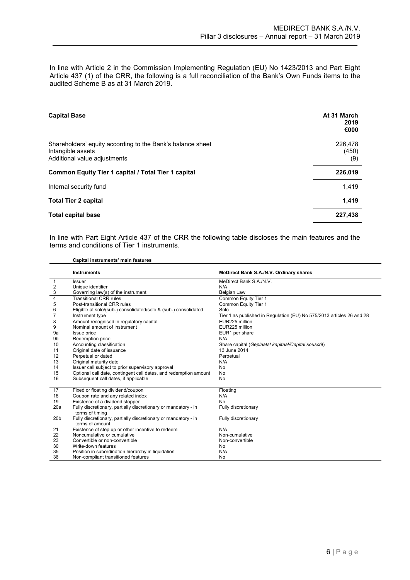In line with Article 2 in the Commission Implementing Regulation (EU) No 1423/2013 and Part Eight Article 437 (1) of the CRR, the following is a full reconciliation of the Bank's Own Funds items to the audited Scheme B as at 31 March 2019.

| <b>Capital Base</b>                                                                                             | At 31 March<br>2019<br>€000 |
|-----------------------------------------------------------------------------------------------------------------|-----------------------------|
| Shareholders' equity according to the Bank's balance sheet<br>Intangible assets<br>Additional value adjustments | 226.478<br>(450)<br>(9)     |
| Common Equity Tier 1 capital / Total Tier 1 capital                                                             | 226,019                     |
| Internal security fund                                                                                          | 1.419                       |
| <b>Total Tier 2 capital</b>                                                                                     | 1.419                       |
| <b>Total capital base</b>                                                                                       | 227,438                     |

In line with Part Eight Article 437 of the CRR the following table discloses the main features and the terms and conditions of Tier 1 instruments.

**Capital instruments' main features**

|                 | <b>Instruments</b>                                                                | MeDirect Bank S.A./N.V. Ordinary shares                               |
|-----------------|-----------------------------------------------------------------------------------|-----------------------------------------------------------------------|
| $\mathbf{1}$    | <b>Issuer</b>                                                                     | MeDirect Bank S.A./N.V.                                               |
|                 | Unique identifier                                                                 | N/A                                                                   |
| $rac{2}{3}$     | Governing law(s) of the instrument                                                | <b>Belgian Law</b>                                                    |
| $\overline{4}$  | <b>Transitional CRR rules</b>                                                     | Common Equity Tier 1                                                  |
| 5               | Post-transitional CRR rules                                                       | Common Equity Tier 1                                                  |
| 6               | Eligible at solo/(sub-) consolidated/solo & (sub-) consolidated                   | Solo                                                                  |
| 7               | Instrument type                                                                   | Tier 1 as published in Regulation (EU) No 575/2013 articles 26 and 28 |
| 8               | Amount recognised in regulatory capital                                           | EUR225 million                                                        |
| 9               | Nominal amount of instrument                                                      | EUR225 million                                                        |
| 9а              | Issue price                                                                       | EUR1 per share                                                        |
| 9b              | <b>Redemption price</b>                                                           | N/A                                                                   |
| 10              | Accounting classification                                                         | Share capital (Geplaatst kapitaal/Capital souscrit)                   |
| 11              | Original date of issuance                                                         | 13 June 2014                                                          |
| 12              | Perpetual or dated                                                                | Perpetual                                                             |
| 13              | Original maturity date                                                            | N/A                                                                   |
| 14              | Issuer call subject to prior supervisory approval                                 | <b>No</b>                                                             |
| 15              | Optional call date, contingent call dates, and redemption amount                  | <b>No</b>                                                             |
| 16              | Subsequent call dates, if applicable                                              | No                                                                    |
| 17              | Fixed or floating dividend/coupon                                                 | Floating                                                              |
| 18              | Coupon rate and any related index                                                 | N/A                                                                   |
| 19              | Existence of a dividend stopper                                                   | No                                                                    |
| 20a             | Fully discretionary, partially discretionary or mandatory - in<br>terms of timing | Fully discretionary                                                   |
| 20 <sub>b</sub> | Fully discretionary, partially discretionary or mandatory - in<br>terms of amount | Fully discretionary                                                   |
| 21              | Existence of step up or other incentive to redeem                                 | N/A                                                                   |
| 22              | Noncumulative or cumulative                                                       | Non-cumulative                                                        |
| 23              | Convertible or non-convertible                                                    | Non-convertible                                                       |
| 30              | Write-down features                                                               | No                                                                    |
| 35              | Position in subordination hierarchy in liquidation                                | N/A                                                                   |
| 36              | Non-compliant transitioned features                                               | No                                                                    |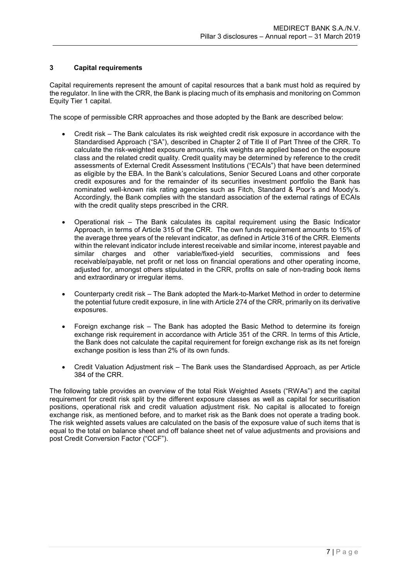### <span id="page-7-0"></span>**3 Capital requirements**

Capital requirements represent the amount of capital resources that a bank must hold as required by the regulator. In line with the CRR, the Bank is placing much of its emphasis and monitoring on Common Equity Tier 1 capital.

The scope of permissible CRR approaches and those adopted by the Bank are described below:

- Credit risk The Bank calculates its risk weighted credit risk exposure in accordance with the Standardised Approach ("SA"), described in Chapter 2 of Title II of Part Three of the CRR. To calculate the risk-weighted exposure amounts, risk weights are applied based on the exposure class and the related credit quality. Credit quality may be determined by reference to the credit assessments of External Credit Assessment Institutions ("ECAIs") that have been determined as eligible by the EBA. In the Bank's calculations, Senior Secured Loans and other corporate credit exposures and for the remainder of its securities investment portfolio the Bank has nominated well-known risk rating agencies such as Fitch, Standard & Poor's and Moody's. Accordingly, the Bank complies with the standard association of the external ratings of ECAIs with the credit quality steps prescribed in the CRR.
- Operational risk The Bank calculates its capital requirement using the Basic Indicator Approach, in terms of Article 315 of the CRR. The own funds requirement amounts to 15% of the average three years of the relevant indicator, as defined in Article 316 of the CRR. Elements within the relevant indicator include interest receivable and similar income, interest payable and similar charges and other variable/fixed-yield securities, commissions and fees receivable/payable, net profit or net loss on financial operations and other operating income, adjusted for, amongst others stipulated in the CRR, profits on sale of non-trading book items and extraordinary or irregular items.
- Counterparty credit risk The Bank adopted the Mark-to-Market Method in order to determine the potential future credit exposure, in line with Article 274 of the CRR, primarily on its derivative exposures.
- Foreign exchange risk The Bank has adopted the Basic Method to determine its foreign exchange risk requirement in accordance with Article 351 of the CRR. In terms of this Article, the Bank does not calculate the capital requirement for foreign exchange risk as its net foreign exchange position is less than 2% of its own funds.
- Credit Valuation Adjustment risk The Bank uses the Standardised Approach, as per Article 384 of the CRR.

The following table provides an overview of the total Risk Weighted Assets ("RWAs") and the capital requirement for credit risk split by the different exposure classes as well as capital for securitisation positions, operational risk and credit valuation adjustment risk. No capital is allocated to foreign exchange risk, as mentioned before, and to market risk as the Bank does not operate a trading book. The risk weighted assets values are calculated on the basis of the exposure value of such items that is equal to the total on balance sheet and off balance sheet net of value adjustments and provisions and post Credit Conversion Factor ("CCF").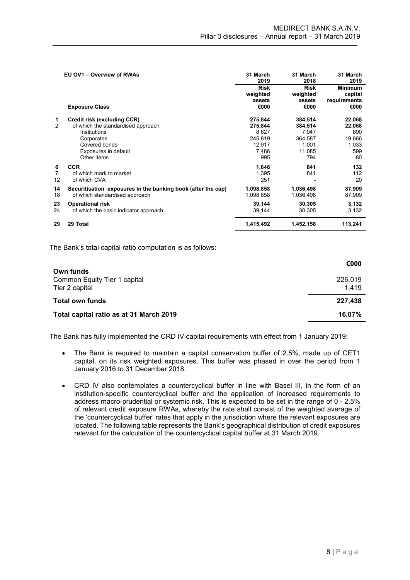|                           | EU OV1 - Overview of RWAs                                                                                                                               | 31 March<br>2019                                                 | 31 March<br>2018                                                 | 31 March<br>2019                                        |
|---------------------------|---------------------------------------------------------------------------------------------------------------------------------------------------------|------------------------------------------------------------------|------------------------------------------------------------------|---------------------------------------------------------|
|                           | <b>Exposure Class</b>                                                                                                                                   | <b>Risk</b><br>weighted<br>assets<br>€000                        | <b>Risk</b><br>weighted<br>assets<br>€000                        | <b>Minimum</b><br>capital<br>requirements<br>€000       |
| 1<br>2                    | Credit risk (excluding CCR)<br>of which the standardised approach<br>Institutions<br>Corporates<br>Covered bonds<br>Exposures in default<br>Other items | 275,844<br>275,844<br>8,627<br>245,819<br>12,917<br>7,486<br>995 | 384,514<br>384,514<br>7,047<br>364,587<br>1,001<br>11,085<br>794 | 22,068<br>22,068<br>690<br>19,666<br>1,033<br>599<br>80 |
| 6<br>$\overline{7}$<br>12 | <b>CCR</b><br>of which mark to market<br>of which CVA                                                                                                   | 1,646<br>1,395<br>251                                            | 841<br>841                                                       | 132<br>112<br>20                                        |
| 14<br>18                  | Securitisation exposures in the banking book (after the cap)<br>of which standardised approach                                                          | 1,098,858<br>1,098,858                                           | 1,036,498<br>1,036,498                                           | 87,909<br>87,909                                        |
| 23<br>24                  | <b>Operational risk</b><br>of which the basic indicator approach                                                                                        | 39,144<br>39,144                                                 | 30,305<br>30,305                                                 | 3,132<br>3,132                                          |
| 29                        | 29 Total                                                                                                                                                | 1,415,492                                                        | 1,452,158                                                        | 113,241                                                 |

The Bank's total capital ratio computation is as follows:

|                                         | €000    |
|-----------------------------------------|---------|
| Own funds                               |         |
| Common Equity Tier 1 capital            | 226.019 |
| Tier 2 capital                          | 1.419   |
| <b>Total own funds</b>                  | 227,438 |
|                                         |         |
| Total capital ratio as at 31 March 2019 | 16.07%  |
|                                         |         |

The Bank has fully implemented the CRD IV capital requirements with effect from 1 January 2019:

- The Bank is required to maintain a capital conservation buffer of 2.5%, made up of CET1 capital, on its risk weighted exposures. This buffer was phased in over the period from 1 January 2016 to 31 December 2018.
- CRD IV also contemplates a countercyclical buffer in line with Basel III, in the form of an institution-specific countercyclical buffer and the application of increased requirements to address macro-prudential or systemic risk. This is expected to be set in the range of 0 - 2.5% of relevant credit exposure RWAs, whereby the rate shall consist of the weighted average of the 'countercyclical buffer' rates that apply in the jurisdiction where the relevant exposures are located. The following table represents the Bank's geographical distribution of credit exposures relevant for the calculation of the countercyclical capital buffer at 31 March 2019.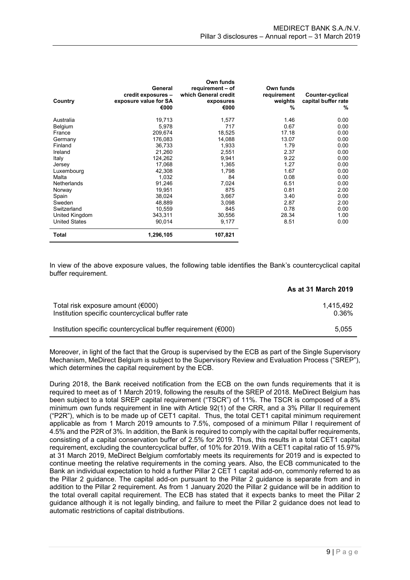| Country              | General<br>credit exposures -<br>exposure value for SA<br>€000 | Own funds<br>requirement - of<br>which General credit<br>exposures<br>€000 | Own funds<br>requirement<br>weights<br>$\%$ | Counter-cyclical<br>capital buffer rate<br>% |
|----------------------|----------------------------------------------------------------|----------------------------------------------------------------------------|---------------------------------------------|----------------------------------------------|
| Australia            | 19,713                                                         | 1,577                                                                      | 1.46                                        | 0.00                                         |
| Belgium              | 5,978                                                          | 717                                                                        | 0.67                                        | 0.00                                         |
| France               | 209,674                                                        | 18,525                                                                     | 17.18                                       | 0.00                                         |
| Germany              | 176,083                                                        | 14,088                                                                     | 13.07                                       | 0.00                                         |
| Finland              | 36,733                                                         | 1,933                                                                      | 1.79                                        | 0.00                                         |
| Ireland              | 21,260                                                         | 2,551                                                                      | 2.37                                        | 0.00                                         |
| Italy                | 124,262                                                        | 9,941                                                                      | 9.22                                        | 0.00                                         |
| Jersey               | 17,068                                                         | 1,365                                                                      | 1.27                                        | 0.00                                         |
| Luxembourg           | 42.308                                                         | 1.798                                                                      | 1.67                                        | 0.00                                         |
| Malta                | 1,032                                                          | 84                                                                         | 0.08                                        | 0.00                                         |
| Netherlands          | 91,246                                                         | 7,024                                                                      | 6.51                                        | 0.00                                         |
| Norway               | 19,951                                                         | 875                                                                        | 0.81                                        | 2.00                                         |
| Spain                | 38,024                                                         | 3,667                                                                      | 3.40                                        | 0.00                                         |
| Sweden               | 48,889                                                         | 3,098                                                                      | 2.87                                        | 2.00                                         |
| Switzerland          | 10,559                                                         | 845                                                                        | 0.78                                        | 0.00                                         |
| United Kingdom       | 343,311                                                        | 30,556                                                                     | 28.34                                       | 1.00                                         |
| <b>United States</b> | 90,014                                                         | 9,177                                                                      | 8.51                                        | 0.00                                         |
| <b>Total</b>         | 1,296,105                                                      | 107,821                                                                    |                                             |                                              |

In view of the above exposure values, the following table identifies the Bank's countercyclical capital buffer requirement.

|                                                                                         | <b>As at 31 March 2019</b> |
|-----------------------------------------------------------------------------------------|----------------------------|
| Total risk exposure amount $(6000)$<br>Institution specific countercyclical buffer rate | 1.415.492<br>0.36%         |
| Institution specific countercyclical buffer requirement ( $\epsilon$ 000)               | 5.055                      |

Moreover, in light of the fact that the Group is supervised by the ECB as part of the Single Supervisory Mechanism, MeDirect Belgium is subject to the Supervisory Review and Evaluation Process ("SREP"), which determines the capital requirement by the ECB.

During 2018, the Bank received notification from the ECB on the own funds requirements that it is required to meet as of 1 March 2019, following the results of the SREP of 2018. MeDirect Belgium has been subject to a total SREP capital requirement ("TSCR") of 11%. The TSCR is composed of a 8% minimum own funds requirement in line with Article 92(1) of the CRR, and a 3% Pillar II requirement ("P2R"), which is to be made up of CET1 capital. Thus, the total CET1 capital minimum requirement applicable as from 1 March 2019 amounts to 7.5%, composed of a minimum Pillar I requirement of 4.5% and the P2R of 3%. In addition, the Bank is required to comply with the capital buffer requirements, consisting of a capital conservation buffer of 2.5% for 2019. Thus, this results in a total CET1 capital requirement, excluding the countercyclical buffer, of 10% for 2019. With a CET1 capital ratio of 15.97% at 31 March 2019, MeDirect Belgium comfortably meets its requirements for 2019 and is expected to continue meeting the relative requirements in the coming years. Also, the ECB communicated to the Bank an individual expectation to hold a further Pillar 2 CET 1 capital add-on, commonly referred to as the Pillar 2 guidance. The capital add-on pursuant to the Pillar 2 guidance is separate from and in addition to the Pillar 2 requirement. As from 1 January 2020 the Pillar 2 guidance will be in addition to the total overall capital requirement. The ECB has stated that it expects banks to meet the Pillar 2 guidance although it is not legally binding, and failure to meet the Pillar 2 guidance does not lead to automatic restrictions of capital distributions.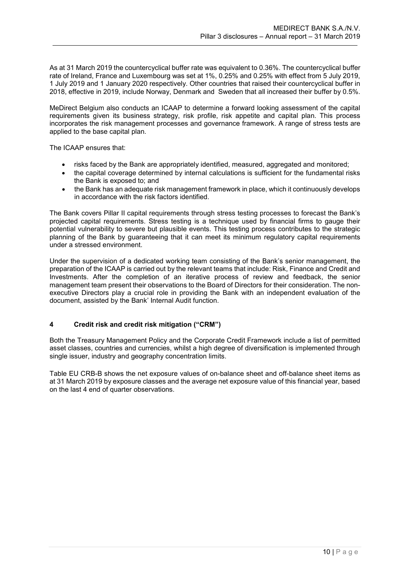As at 31 March 2019 the countercyclical buffer rate was equivalent to 0.36%. The countercyclical buffer rate of Ireland, France and Luxembourg was set at 1%, 0.25% and 0.25% with effect from 5 July 2019, 1 July 2019 and 1 January 2020 respectively. Other countries that raised their countercyclical buffer in 2018, effective in 2019, include Norway, Denmark and Sweden that all increased their buffer by 0.5%.

MeDirect Belgium also conducts an ICAAP to determine a forward looking assessment of the capital requirements given its business strategy, risk profile, risk appetite and capital plan. This process incorporates the risk management processes and governance framework. A range of stress tests are applied to the base capital plan.

The ICAAP ensures that:

- risks faced by the Bank are appropriately identified, measured, aggregated and monitored;
- the capital coverage determined by internal calculations is sufficient for the fundamental risks the Bank is exposed to; and
- the Bank has an adequate risk management framework in place, which it continuously develops in accordance with the risk factors identified.

The Bank covers Pillar II capital requirements through stress testing processes to forecast the Bank's projected capital requirements. Stress testing is a technique used by financial firms to gauge their potential vulnerability to severe but plausible events. This testing process contributes to the strategic planning of the Bank by guaranteeing that it can meet its minimum regulatory capital requirements under a stressed environment.

Under the supervision of a dedicated working team consisting of the Bank's senior management, the preparation of the ICAAP is carried out by the relevant teams that include: Risk, Finance and Credit and Investments. After the completion of an iterative process of review and feedback, the senior management team present their observations to the Board of Directors for their consideration. The nonexecutive Directors play a crucial role in providing the Bank with an independent evaluation of the document, assisted by the Bank' Internal Audit function.

### <span id="page-10-0"></span>**4 Credit risk and credit risk mitigation ("CRM")**

Both the Treasury Management Policy and the Corporate Credit Framework include a list of permitted asset classes, countries and currencies, whilst a high degree of diversification is implemented through single issuer, industry and geography concentration limits.

Table EU CRB-B shows the net exposure values of on-balance sheet and off-balance sheet items as at 31 March 2019 by exposure classes and the average net exposure value of this financial year, based on the last 4 end of quarter observations.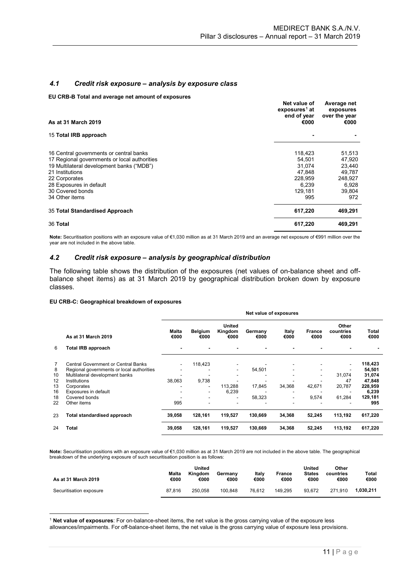### <span id="page-11-0"></span>*4.1 Credit risk exposure – analysis by exposure class*

**EU CRB-B Total and average net amount of exposures**

| As at 31 March 2019                                                                                                                                                                                                     | Net value of<br>exposures <sup>1</sup> at<br>end of year<br>€000     | Average net<br>exposures<br>over the year<br>€000                  |
|-------------------------------------------------------------------------------------------------------------------------------------------------------------------------------------------------------------------------|----------------------------------------------------------------------|--------------------------------------------------------------------|
| 15 Total IRB approach                                                                                                                                                                                                   |                                                                      |                                                                    |
| 16 Central governments or central banks<br>17 Regional governments or local authorities<br>19 Multilateral development banks ("MDB")<br>21 Institutions<br>22 Corporates<br>28 Exposures in default<br>30 Covered bonds | 118,423<br>54.501<br>31.074<br>47.848<br>228.959<br>6.239<br>129,181 | 51,513<br>47,920<br>23,440<br>49,787<br>248,927<br>6,928<br>39,804 |
| 34 Other items                                                                                                                                                                                                          | 995                                                                  | 972                                                                |
| 35 Total Standardised Approach                                                                                                                                                                                          | 617,220                                                              | 469,291                                                            |
| 36 Total                                                                                                                                                                                                                | 617,220                                                              | 469,291                                                            |

**Note:** Securitisation positions with an exposure value of €1,030 million as at 31 March 2019 and an average net exposure of €991 million over the year are not included in the above table.

#### *4.2 Credit risk exposure – analysis by geographical distribution*

The following table shows the distribution of the exposures (net values of on-balance sheet and offbalance sheet items) as at 31 March 2019 by geographical distribution broken down by exposure classes.

#### **EU CRB-C: Geographical breakdown of exposures**

|                                     | Net value of exposures                                                                                                                           |                 |                           |                  |                          |                          |                            |                        |
|-------------------------------------|--------------------------------------------------------------------------------------------------------------------------------------------------|-----------------|---------------------------|------------------|--------------------------|--------------------------|----------------------------|------------------------|
| As at 31 March 2019                 | Malta<br>€000                                                                                                                                    | Belgium<br>€000 | United<br>Kingdom<br>€000 | Germany<br>€000  | Italy<br>€000            | <b>France</b><br>€000    | Other<br>countries<br>€000 | Total<br>€000          |
| <b>Total IRB approach</b>           | $\blacksquare$                                                                                                                                   | $\blacksquare$  |                           | $\blacksquare$   |                          |                          | ٠                          |                        |
| Central Government or Central Banks | ۰                                                                                                                                                | 118,423         |                           |                  |                          |                          | $\overline{\phantom{a}}$   | 118,423                |
|                                     | ۰                                                                                                                                                |                 | -                         |                  |                          |                          | ٠                          | 54,501                 |
|                                     |                                                                                                                                                  |                 |                           |                  |                          | $\overline{\phantom{a}}$ |                            | 31,074                 |
|                                     |                                                                                                                                                  |                 |                           |                  |                          |                          |                            | 47,848                 |
|                                     | ۰                                                                                                                                                | $\blacksquare$  |                           |                  |                          |                          |                            | 228,959                |
|                                     | ٠                                                                                                                                                | $\blacksquare$  |                           |                  |                          |                          |                            | 6,239                  |
| Covered bonds                       |                                                                                                                                                  |                 | -                         | 58,323           | $\overline{\phantom{a}}$ | 9,574                    | 61,284                     | 129,181                |
|                                     |                                                                                                                                                  |                 |                           |                  |                          |                          |                            | 995                    |
| Total standardised approach         | 39,058                                                                                                                                           | 128,161         | 119,527                   | 130,669          | 34,368                   | 52,245                   | 113,192                    | 617,220                |
| Total                               | 39,058                                                                                                                                           | 128,161         | 119,527                   | 130.669          | 34,368                   | 52,245                   | 113,192                    | 617,220                |
|                                     | Regional governments or local authorities<br>Multilateral development banks<br>Institutions<br>Corporates<br>Exposures in default<br>Other items | 38.063<br>995   | 9.738                     | 113.288<br>6,239 | 54,501<br>17,845         | 34.368                   | 42,671                     | 31.074<br>47<br>20,787 |

**Note:** Securitisation positions with an exposure value of €1,030 million as at 31 March 2019 are not included in the above table. The geographical breakdown of the underlying exposure of such securitisation position is as follows:

| As at 31 March 2019     | Malta<br>€000 | United<br>Kingdom<br>€000 | Germany<br>€000 | Italy<br>€000 | France<br>€000 | United<br><b>States</b><br>€000 | Other<br>countries<br>€000 | Total<br>€000 |
|-------------------------|---------------|---------------------------|-----------------|---------------|----------------|---------------------------------|----------------------------|---------------|
| Securitisation exposure | 87.816        | 250.058                   | 100.848         | 76.612        | 149.295        | 93.672                          | 271.910                    | 1.030.211     |

<span id="page-11-1"></span><u>.</u> <sup>1</sup> **Net value of exposures**: For on-balance-sheet items, the net value is the gross carrying value of the exposure less allowances/impairments. For off-balance-sheet items, the net value is the gross carrying value of exposure less provisions.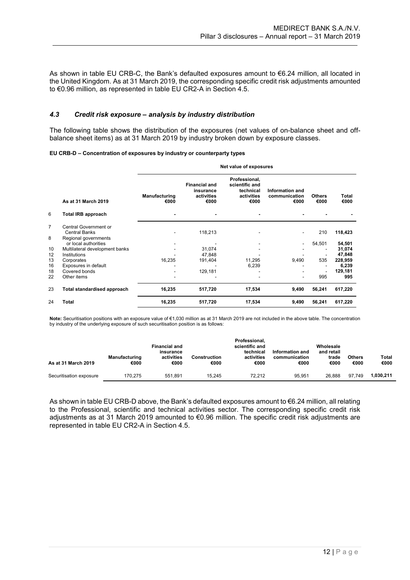As shown in table EU CRB-C, the Bank's defaulted exposures amount to €6.24 million, all located in the United Kingdom. As at 31 March 2019, the corresponding specific credit risk adjustments amounted to €0.96 million, as represented in table EU CR2-A in Section 4.5.

#### <span id="page-12-0"></span>*4.3 Credit risk exposure – analysis by industry distribution*

The following table shows the distribution of the exposures (net values of on-balance sheet and offbalance sheet items) as at 31 March 2019 by industry broken down by exposure classes.

#### **EU CRB-D – Concentration of exposures by industry or counterparty types**

|                |                                               | Net value of exposures |                                                         |                                                                    |                                          |                       |               |  |  |
|----------------|-----------------------------------------------|------------------------|---------------------------------------------------------|--------------------------------------------------------------------|------------------------------------------|-----------------------|---------------|--|--|
|                | As at 31 March 2019                           | Manufacturing<br>€000  | <b>Financial and</b><br>insurance<br>activities<br>€000 | Professional,<br>scientific and<br>technical<br>activities<br>€000 | Information and<br>communication<br>€000 | <b>Others</b><br>€000 | Total<br>€000 |  |  |
| 6              | <b>Total IRB approach</b>                     |                        |                                                         |                                                                    |                                          |                       |               |  |  |
| $\overline{7}$ | Central Government or<br><b>Central Banks</b> |                        | 118,213                                                 |                                                                    |                                          | 210                   | 118,423       |  |  |
| 8              | Regional governments<br>or local authorities  |                        |                                                         |                                                                    | ٠                                        | 54,501                | 54,501        |  |  |
| 10             | Multilateral development banks                |                        | 31,074                                                  |                                                                    |                                          |                       | 31,074        |  |  |
| 12             | Institutions                                  |                        | 47,848                                                  |                                                                    |                                          |                       | 47,848        |  |  |
| 13             | Corporates                                    | 16.235                 | 191,404                                                 | 11,295                                                             | 9,490                                    | 535                   | 228,959       |  |  |
| 16             | Exposures in default                          |                        |                                                         | 6,239                                                              |                                          |                       | 6,239         |  |  |
| 18             | Covered bonds                                 |                        | 129,181                                                 |                                                                    |                                          |                       | 129,181       |  |  |
| 22             | Other items                                   |                        |                                                         |                                                                    |                                          | 995                   | 995           |  |  |
| 23             | <b>Total standardised approach</b>            | 16,235                 | 517,720                                                 | 17,534                                                             | 9,490                                    | 56,241                | 617,220       |  |  |
| 24             | <b>Total</b>                                  | 16,235                 | 517,720                                                 | 17,534                                                             | 9,490                                    | 56,241                | 617,220       |  |  |

**Note:** Securitisation positions with an exposure value of €1,030 million as at 31 March 2019 are not included in the above table. The concentration by industry of the underlying exposure of such securitisation position is as follows:

| As at 31 March 2019     | Manufacturing<br>€000 | <b>Financial and</b><br>insurance<br>activities<br>€000 | Construction<br>€000 | Professional.<br>scientific and<br>technical<br>activities<br>€000 | Information and<br>communication<br>€000 | Wholesale<br>and retail<br>trade<br>€000 | <b>Others</b><br>€000 | <b>Total</b><br>€000 |
|-------------------------|-----------------------|---------------------------------------------------------|----------------------|--------------------------------------------------------------------|------------------------------------------|------------------------------------------|-----------------------|----------------------|
| Securitisation exposure | 170.275               | 551.891                                                 | 15.245               | 72.212                                                             | 95.951                                   | 26.888                                   | 97.749                | 1.030.211            |

As shown in table EU CRB-D above, the Bank's defaulted exposures amount to €6.24 million, all relating to the Professional, scientific and technical activities sector. The corresponding specific credit risk adjustments as at 31 March 2019 amounted to €0.96 million. The specific credit risk adjustments are represented in table EU CR2-A in Section 4.5.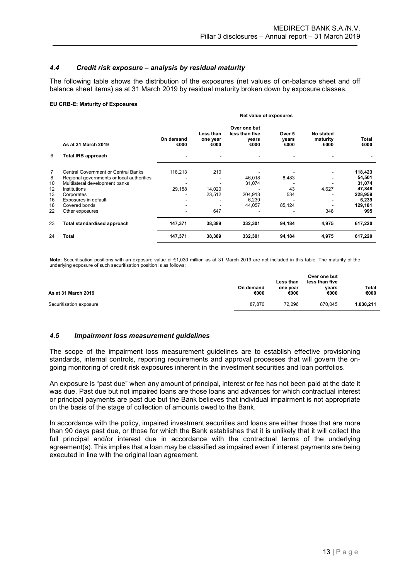### <span id="page-13-0"></span>*4.4 Credit risk exposure – analysis by residual maturity*

The following table shows the distribution of the exposures (net values of on-balance sheet and off balance sheet items) as at 31 March 2019 by residual maturity broken down by exposure classes.

#### **EU CRB-E: Maturity of Exposures**

|                |                                                | Net value of exposures |                               |                                                 |                         |                               |                  |  |
|----------------|------------------------------------------------|------------------------|-------------------------------|-------------------------------------------------|-------------------------|-------------------------------|------------------|--|
|                | As at 31 March 2019                            | On demand<br>€000      | Less than<br>one year<br>€000 | Over one but<br>less than five<br>vears<br>€000 | Over 5<br>years<br>€000 | No stated<br>maturity<br>€000 | Total<br>€000    |  |
| 6              | Total IRB approach                             | ۰                      |                               |                                                 |                         |                               |                  |  |
| $\overline{7}$ | Central Government or Central Banks            | 118,213                | 210                           |                                                 |                         |                               | 118,423          |  |
| 8<br>10        | Regional governments or local authorities      |                        |                               | 46,018                                          | 8,483                   |                               | 54,501<br>31,074 |  |
| 12             | Multilateral development banks<br>Institutions | 29,158                 | 14,020                        | 31,074                                          | 43                      | 4,627                         | 47,848           |  |
| 13             | Corporates                                     | ٠                      | 23,512                        | 204,913                                         | 534                     |                               | 228,959          |  |
| 16             | Exposures in default                           |                        |                               | 6,239                                           |                         |                               | 6,239            |  |
| 18             | Covered bonds                                  |                        |                               | 44,057                                          | 85,124                  |                               | 129,181          |  |
| 22             | Other exposures                                | ۰                      | 647                           |                                                 |                         | 348                           | 995              |  |
| 23             | Total standardised approach                    | 147,371                | 38,389                        | 332,301                                         | 94,184                  | 4,975                         | 617,220          |  |
| 24             | Total                                          | 147,371                | 38,389                        | 332,301                                         | 94,184                  | 4,975                         | 617,220          |  |

**Note:** Securitisation positions with an exposure value of €1,030 million as at 31 March 2019 are not included in this table. The maturity of the underlying exposure of such securitisation position is as follows:

| As at 31 March 2019     | On demand<br>€000 | Less than<br>one vear<br>€000 | Over one but<br>less than five<br>vears<br>€000 | Total<br>€000 |
|-------------------------|-------------------|-------------------------------|-------------------------------------------------|---------------|
| Securitisation exposure | 87.870            | 72.296                        | 870.045                                         | 1.030.211     |

### <span id="page-13-1"></span>*4.5 Impairment loss measurement guidelines*

The scope of the impairment loss measurement guidelines are to establish effective provisioning standards, internal controls, reporting requirements and approval processes that will govern the ongoing monitoring of credit risk exposures inherent in the investment securities and loan portfolios.

An exposure is "past due" when any amount of principal, interest or fee has not been paid at the date it was due. Past due but not impaired loans are those loans and advances for which contractual interest or principal payments are past due but the Bank believes that individual impairment is not appropriate on the basis of the stage of collection of amounts owed to the Bank.

In accordance with the policy, impaired investment securities and loans are either those that are more than 90 days past due, or those for which the Bank establishes that it is unlikely that it will collect the full principal and/or interest due in accordance with the contractual terms of the underlying agreement(s). This implies that a loan may be classified as impaired even if interest payments are being executed in line with the original loan agreement.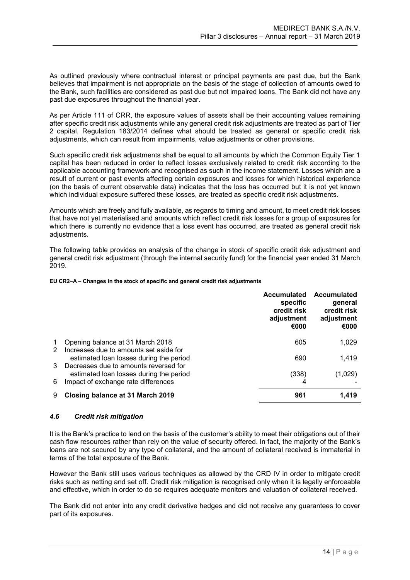As outlined previously where contractual interest or principal payments are past due, but the Bank believes that impairment is not appropriate on the basis of the stage of collection of amounts owed to the Bank, such facilities are considered as past due but not impaired loans. The Bank did not have any past due exposures throughout the financial year.

As per Article 111 of CRR, the exposure values of assets shall be their accounting values remaining after specific credit risk adjustments while any general credit risk adjustments are treated as part of Tier 2 capital. Regulation 183/2014 defines what should be treated as general or specific credit risk adjustments, which can result from impairments, value adjustments or other provisions.

Such specific credit risk adjustments shall be equal to all amounts by which the Common Equity Tier 1 capital has been reduced in order to reflect losses exclusively related to credit risk according to the applicable accounting framework and recognised as such in the income statement. Losses which are a result of current or past events affecting certain exposures and losses for which historical experience (on the basis of current observable data) indicates that the loss has occurred but it is not yet known which individual exposure suffered these losses, are treated as specific credit risk adjustments.

Amounts which are freely and fully available, as regards to timing and amount, to meet credit risk losses that have not yet materialised and amounts which reflect credit risk losses for a group of exposures for which there is currently no evidence that a loss event has occurred, are treated as general credit risk adjustments.

The following table provides an analysis of the change in stock of specific credit risk adjustment and general credit risk adjustment (through the internal security fund) for the financial year ended 31 March 2019.

#### **EU CR2–A – Changes in the stock of specific and general credit risk adjustments**

|   |                                         | <b>Accumulated</b><br>specific<br>credit risk<br>adjustment<br>€000 | <b>Accumulated</b><br>general<br>credit risk<br>adjustment<br>€000 |
|---|-----------------------------------------|---------------------------------------------------------------------|--------------------------------------------------------------------|
| 1 | Opening balance at 31 March 2018        | 605                                                                 | 1,029                                                              |
| 2 | Increases due to amounts set aside for  |                                                                     |                                                                    |
|   | estimated loan losses during the period | 690                                                                 | 1,419                                                              |
| 3 | Decreases due to amounts reversed for   |                                                                     |                                                                    |
|   | estimated loan losses during the period | (338)                                                               | (1,029)                                                            |
| 6 | Impact of exchange rate differences     | 4                                                                   |                                                                    |
| 9 | Closing balance at 31 March 2019        | 961                                                                 | 1,419                                                              |
|   |                                         |                                                                     |                                                                    |

### <span id="page-14-0"></span>*4.6 Credit risk mitigation*

It is the Bank's practice to lend on the basis of the customer's ability to meet their obligations out of their cash flow resources rather than rely on the value of security offered. In fact, the majority of the Bank's loans are not secured by any type of collateral, and the amount of collateral received is immaterial in terms of the total exposure of the Bank.

However the Bank still uses various techniques as allowed by the CRD IV in order to mitigate credit risks such as netting and set off. Credit risk mitigation is recognised only when it is legally enforceable and effective, which in order to do so requires adequate monitors and valuation of collateral received.

The Bank did not enter into any credit derivative hedges and did not receive any guarantees to cover part of its exposures.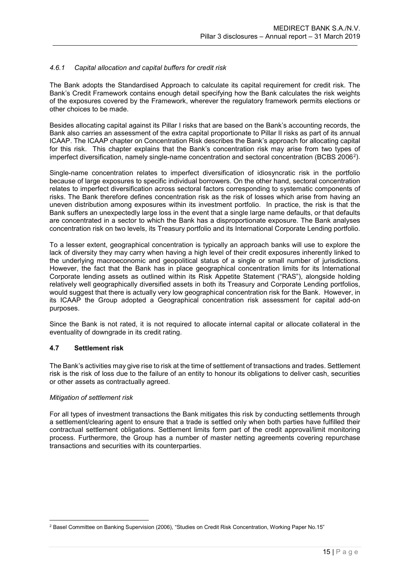### <span id="page-15-0"></span>*4.6.1 Capital allocation and capital buffers for credit risk*

The Bank adopts the Standardised Approach to calculate its capital requirement for credit risk. The Bank's Credit Framework contains enough detail specifying how the Bank calculates the risk weights of the exposures covered by the Framework, wherever the regulatory framework permits elections or other choices to be made.

Besides allocating capital against its Pillar I risks that are based on the Bank's accounting records, the Bank also carries an assessment of the extra capital proportionate to Pillar II risks as part of its annual ICAAP. The ICAAP chapter on Concentration Risk describes the Bank's approach for allocating capital for this risk. This chapter explains that the Bank's concentration risk may arise from two types of imperfect diversification, namely single-name concentration and sectoral concentration (BCBS 2006[2\)](#page-15-2).

Single-name concentration relates to imperfect diversification of idiosyncratic risk in the portfolio because of large exposures to specific individual borrowers. On the other hand, sectoral concentration relates to imperfect diversification across sectoral factors corresponding to systematic components of risks. The Bank therefore defines concentration risk as the risk of losses which arise from having an uneven distribution among exposures within its investment portfolio. In practice, the risk is that the Bank suffers an unexpectedly large loss in the event that a single large name defaults, or that defaults are concentrated in a sector to which the Bank has a disproportionate exposure. The Bank analyses concentration risk on two levels, its Treasury portfolio and its International Corporate Lending portfolio.

To a lesser extent, geographical concentration is typically an approach banks will use to explore the lack of diversity they may carry when having a high level of their credit exposures inherently linked to the underlying macroeconomic and geopolitical status of a single or small number of jurisdictions. However, the fact that the Bank has in place geographical concentration limits for its International Corporate lending assets as outlined within its Risk Appetite Statement ("RAS"), alongside holding relatively well geographically diversified assets in both its Treasury and Corporate Lending portfolios, would suggest that there is actually very low geographical concentration risk for the Bank. However, in its ICAAP the Group adopted a Geographical concentration risk assessment for capital add-on purposes.

Since the Bank is not rated, it is not required to allocate internal capital or allocate collateral in the eventuality of downgrade in its credit rating.

### <span id="page-15-1"></span>**4.7 Settlement risk**

The Bank's activities may give rise to risk at the time of settlement of transactions and trades. Settlement risk is the risk of loss due to the failure of an entity to honour its obligations to deliver cash, securities or other assets as contractually agreed.

### *Mitigation of settlement risk*

For all types of investment transactions the Bank mitigates this risk by conducting settlements through a settlement/clearing agent to ensure that a trade is settled only when both parties have fulfilled their contractual settlement obligations. Settlement limits form part of the credit approval/limit monitoring process. Furthermore, the Group has a number of master netting agreements covering repurchase transactions and securities with its counterparties.

<span id="page-15-2"></span><sup>&</sup>lt;u>.</u> <sup>2</sup> Basel Committee on Banking Supervision (2006), "Studies on Credit Risk Concentration, Working Paper No.15"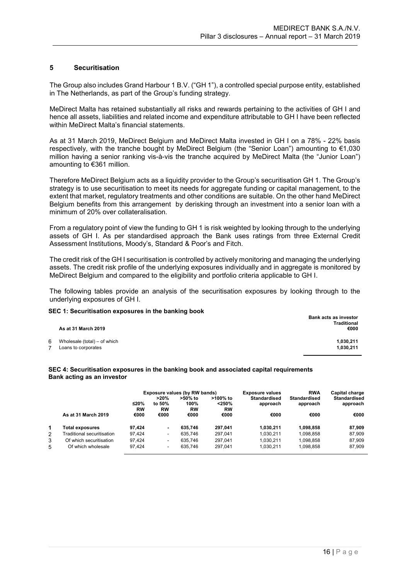### <span id="page-16-0"></span>**5 Securitisation**

The Group also includes Grand Harbour 1 B.V. ("GH 1"), a controlled special purpose entity, established in The Netherlands, as part of the Group's funding strategy.

MeDirect Malta has retained substantially all risks and rewards pertaining to the activities of GH I and hence all assets, liabilities and related income and expenditure attributable to GH I have been reflected within MeDirect Malta's financial statements.

As at 31 March 2019, MeDirect Belgium and MeDirect Malta invested in GH I on a 78% - 22% basis respectively, with the tranche bought by MeDirect Belgium (the "Senior Loan") amounting to €1,030 million having a senior ranking vis-à-vis the tranche acquired by MeDirect Malta (the "Junior Loan") amounting to €361 million.

Therefore MeDirect Belgium acts as a liquidity provider to the Group's securitisation GH 1. The Group's strategy is to use securitisation to meet its needs for aggregate funding or capital management, to the extent that market, regulatory treatments and other conditions are suitable. On the other hand MeDirect Belgium benefits from this arrangement by derisking through an investment into a senior loan with a minimum of 20% over collateralisation.

From a regulatory point of view the funding to GH 1 is risk weighted by looking through to the underlying assets of GH I. As per standardised approach the Bank uses ratings from three External Credit Assessment Institutions, Moody's, Standard & Poor's and Fitch.

The credit risk of the GH I securitisation is controlled by actively monitoring and managing the underlying assets. The credit risk profile of the underlying exposures individually and in aggregate is monitored by MeDirect Belgium and compared to the eligibility and portfolio criteria applicable to GH I.

The following tables provide an analysis of the securitisation exposures by looking through to the underlying exposures of GH I.

#### **SEC 1: Securitisation exposures in the banking book**

|   | -<br>As at 31 March 2019                            | Bank acts as investor<br><b>Traditional</b><br>€000 |
|---|-----------------------------------------------------|-----------------------------------------------------|
| 6 | Wholesale (total) – of which<br>Loans to corporates | 1,030,211<br>1,030,211                              |

#### **SEC 4: Securitisation exposures in the banking book and associated capital requirements Bank acting as an investor**

|   |                            |                     |                          | Exposure values (by RW bands) |                                | <b>Exposure values</b>          | <b>RWA</b>                      | Capital charge                  |
|---|----------------------------|---------------------|--------------------------|-------------------------------|--------------------------------|---------------------------------|---------------------------------|---------------------------------|
|   |                            | $≤20%$<br><b>RW</b> | >20%<br>to 50%<br>RW     | >50% to<br>100%<br><b>RW</b>  | >100% to<br><250%<br><b>RW</b> | <b>Standardised</b><br>approach | <b>Standardised</b><br>approach | <b>Standardised</b><br>approach |
|   | As at 31 March 2019        | €000                | €000                     | €000                          | €000                           | €000                            | €000                            | €000                            |
| 1 | Total exposures            | 97.424              | ۰                        | 635.746                       | 297.041                        | 1.030.211                       | 1.098.858                       | 87.909                          |
| 2 | Traditional securitisation | 97.424              | ٠                        | 635.746                       | 297.041                        | 1,030,211                       | 1.098.858                       | 87,909                          |
| 3 | Of which securitisation    | 97.424              | $\overline{\phantom{0}}$ | 635.746                       | 297.041                        | 1.030.211                       | 1.098.858                       | 87.909                          |
| 5 | Of which wholesale         | 97.424              | ٠                        | 635.746                       | 297.041                        | 1,030,211                       | 1,098,858                       | 87,909                          |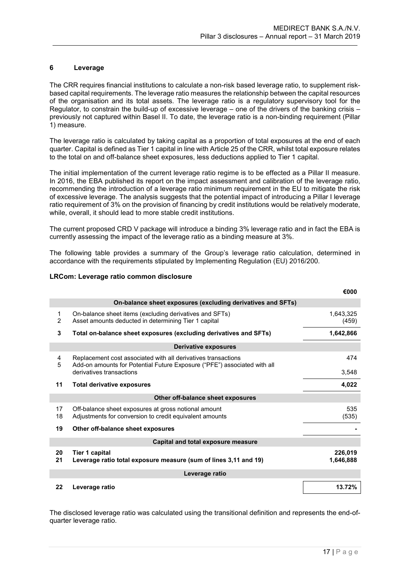### <span id="page-17-0"></span>**6 Leverage**

The CRR requires financial institutions to calculate a non-risk based leverage ratio, to supplement riskbased capital requirements. The leverage ratio measures the relationship between the capital resources of the organisation and its total assets. The leverage ratio is a regulatory supervisory tool for the Regulator, to constrain the build-up of excessive leverage – one of the drivers of the banking crisis – previously not captured within Basel II. To date, the leverage ratio is a non-binding requirement (Pillar 1) measure.

The leverage ratio is calculated by taking capital as a proportion of total exposures at the end of each quarter. Capital is defined as Tier 1 capital in line with Article 25 of the CRR, whilst total exposure relates to the total on and off-balance sheet exposures, less deductions applied to Tier 1 capital.

The initial implementation of the current leverage ratio regime is to be effected as a Pillar II measure. In 2016, the EBA published its report on the impact assessment and calibration of the leverage ratio, recommending the introduction of a leverage ratio minimum requirement in the EU to mitigate the risk of excessive leverage. The analysis suggests that the potential impact of introducing a Pillar I leverage ratio requirement of 3% on the provision of financing by credit institutions would be relatively moderate, while, overall, it should lead to more stable credit institutions.

The current proposed CRD V package will introduce a binding 3% leverage ratio and in fact the EBA is currently assessing the impact of the leverage ratio as a binding measure at 3%.

The following table provides a summary of the Group's leverage ratio calculation, determined in accordance with the requirements stipulated by Implementing Regulation (EU) 2016/200.

### **LRCom: Leverage ratio common disclosure**

|                    |                                                                                                                                           | €000                 |
|--------------------|-------------------------------------------------------------------------------------------------------------------------------------------|----------------------|
|                    | On-balance sheet exposures (excluding derivatives and SFTs)                                                                               |                      |
| 1<br>$\mathcal{P}$ | On-balance sheet items (excluding derivatives and SFTs)<br>Asset amounts deducted in determining Tier 1 capital                           | 1,643,325<br>(459)   |
| 3                  | Total on-balance sheet exposures (excluding derivatives and SFTs)                                                                         | 1,642,866            |
|                    | Derivative exposures                                                                                                                      |                      |
| 4<br>5             | Replacement cost associated with all derivatives transactions<br>Add-on amounts for Potential Future Exposure ("PFE") associated with all | 474                  |
|                    | derivatives transactions                                                                                                                  | 3,548                |
| 11                 | <b>Total derivative exposures</b>                                                                                                         | 4,022                |
|                    | Other off-balance sheet exposures                                                                                                         |                      |
| 17<br>18           | Off-balance sheet exposures at gross notional amount<br>Adjustments for conversion to credit equivalent amounts                           | 535<br>(535)         |
| 19                 | Other off-balance sheet exposures                                                                                                         |                      |
|                    | Capital and total exposure measure                                                                                                        |                      |
| 20<br>21           | <b>Tier 1 capital</b><br>Leverage ratio total exposure measure (sum of lines 3,11 and 19)                                                 | 226,019<br>1,646,888 |
|                    | Leverage ratio                                                                                                                            |                      |
| 22                 | Leverage ratio                                                                                                                            | 13.72%               |

The disclosed leverage ratio was calculated using the transitional definition and represents the end-ofquarter leverage ratio.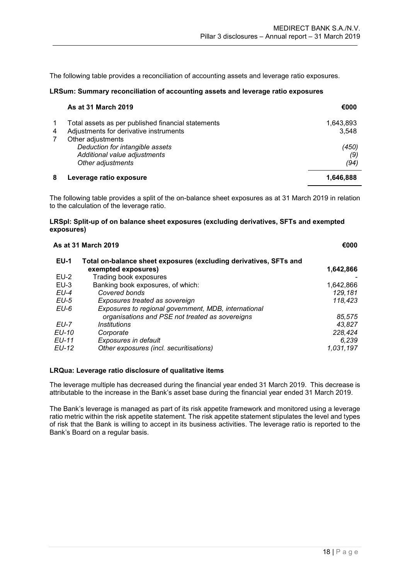The following table provides a reconciliation of accounting assets and leverage ratio exposures.

#### **LRSum: Summary reconciliation of accounting assets and leverage ratio exposures**

|                | As at 31 March 2019                                                                          | €000               |
|----------------|----------------------------------------------------------------------------------------------|--------------------|
| 4              | Total assets as per published financial statements<br>Adjustments for derivative instruments | 1,643,893<br>3.548 |
| $\overline{7}$ | Other adjustments                                                                            |                    |
|                | Deduction for intangible assets                                                              | (450)              |
|                | Additional value adjustments                                                                 | (9)                |
|                | Other adjustments                                                                            | (94)               |
| 8              | Leverage ratio exposure                                                                      | 1,646,888          |

The following table provides a split of the on-balance sheet exposures as at 31 March 2019 in relation to the calculation of the leverage ratio.

### **LRSpl: Split-up of on balance sheet exposures (excluding derivatives, SFTs and exempted exposures)**

|              | <b>As at 31 March 2019</b>                                                               | €000      |
|--------------|------------------------------------------------------------------------------------------|-----------|
| <b>EU-1</b>  | Total on-balance sheet exposures (excluding derivatives, SFTs and<br>exempted exposures) | 1,642,866 |
| $EU-2$       | Trading book exposures                                                                   |           |
| $EU-3$       | Banking book exposures, of which:                                                        | 1,642,866 |
| $EU-4$       | Covered bonds                                                                            | 129,181   |
| EU-5         | Exposures treated as sovereign                                                           | 118,423   |
| EU-6         | Exposures to regional government, MDB, international                                     |           |
|              | organisations and PSE not treated as sovereigns                                          | 85,575    |
| <b>EU-7</b>  | <i><u><b>Institutions</b></u></i>                                                        | 43,827    |
| <b>EU-10</b> | Corporate                                                                                | 228,424   |
| <b>EU-11</b> | Exposures in default                                                                     | 6,239     |
| <b>EU-12</b> | Other exposures (incl. securitisations)                                                  | 1,031,197 |
|              |                                                                                          |           |

### **LRQua: Leverage ratio disclosure of qualitative items**

The leverage multiple has decreased during the financial year ended 31 March 2019. This decrease is attributable to the increase in the Bank's asset base during the financial year ended 31 March 2019.

The Bank's leverage is managed as part of its risk appetite framework and monitored using a leverage ratio metric within the risk appetite statement. The risk appetite statement stipulates the level and types of risk that the Bank is willing to accept in its business activities. The leverage ratio is reported to the Bank's Board on a regular basis.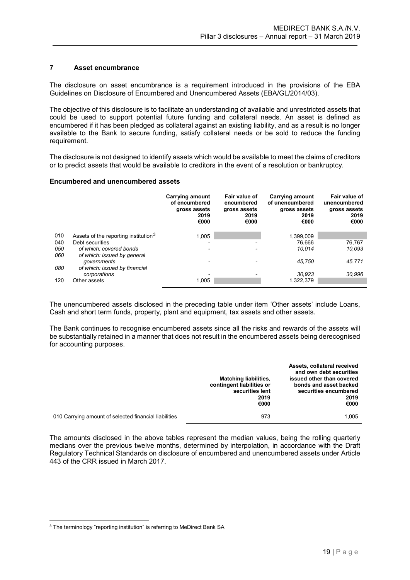### <span id="page-19-0"></span>**7 Asset encumbrance**

The disclosure on asset encumbrance is a requirement introduced in the provisions of the EBA Guidelines on Disclosure of Encumbered and Unencumbered Assets (EBA/GL/2014/03).

The objective of this disclosure is to facilitate an understanding of available and unrestricted assets that could be used to support potential future funding and collateral needs. An asset is defined as encumbered if it has been pledged as collateral against an existing liability, and as a result is no longer available to the Bank to secure funding, satisfy collateral needs or be sold to reduce the funding requirement.

The disclosure is not designed to identify assets which would be available to meet the claims of creditors or to predict assets that would be available to creditors in the event of a resolution or bankruptcy.

### **Encumbered and unencumbered assets**

|     |                                                  | Carrying amount<br>of encumbered<br>gross assets<br>2019<br>€000 | Fair value of<br>encumbered<br>gross assets<br>2019<br>€000 | <b>Carrying amount</b><br>of unencumbered<br>gross assets<br>2019<br>€000 | Fair value of<br>unencumbered<br>gross assets<br>2019<br>€000 |
|-----|--------------------------------------------------|------------------------------------------------------------------|-------------------------------------------------------------|---------------------------------------------------------------------------|---------------------------------------------------------------|
| 010 | Assets of the reporting institution <sup>3</sup> | 1,005                                                            |                                                             | 1,399,009                                                                 |                                                               |
| 040 | Debt securities                                  | $\overline{\phantom{0}}$                                         | $\overline{\phantom{0}}$                                    | 76.666                                                                    | 76.767                                                        |
| 050 | of which: covered bonds                          | $\overline{\phantom{0}}$                                         |                                                             | 10.014                                                                    | 10,093                                                        |
| 060 | of which: issued by general                      |                                                                  |                                                             |                                                                           |                                                               |
|     | governments                                      | $\overline{\phantom{0}}$                                         |                                                             | 45.750                                                                    | 45,771                                                        |
| 080 | of which: issued by financial                    |                                                                  |                                                             |                                                                           |                                                               |
|     | corporations                                     |                                                                  |                                                             | 30.923                                                                    | 30,996                                                        |
| 120 | Other assets                                     | 1,005                                                            |                                                             | 1,322,379                                                                 |                                                               |
|     |                                                  |                                                                  |                                                             |                                                                           |                                                               |

The unencumbered assets disclosed in the preceding table under item 'Other assets' include Loans, Cash and short term funds, property, plant and equipment, tax assets and other assets.

The Bank continues to recognise encumbered assets since all the risks and rewards of the assets will be substantially retained in a manner that does not result in the encumbered assets being derecognised for accounting purposes.

|                                                       | <b>Matching liabilities,</b><br>contingent liabilities or<br>securities lent<br>2019<br>€000 | Assets, collateral received<br>and own debt securities<br>issued other than covered<br>bonds and asset backed<br>securities encumbered<br>2019<br>€000 |
|-------------------------------------------------------|----------------------------------------------------------------------------------------------|--------------------------------------------------------------------------------------------------------------------------------------------------------|
| 010 Carrying amount of selected financial liabilities | 973                                                                                          | 1.005                                                                                                                                                  |

The amounts disclosed in the above tables represent the median values, being the rolling quarterly medians over the previous twelve months, determined by interpolation, in accordance with the Draft Regulatory Technical Standards on disclosure of encumbered and unencumbered assets under Article 443 of the CRR issued in March 2017.

<u>.</u>

<span id="page-19-1"></span><sup>&</sup>lt;sup>3</sup> The terminology "reporting institution" is referring to MeDirect Bank SA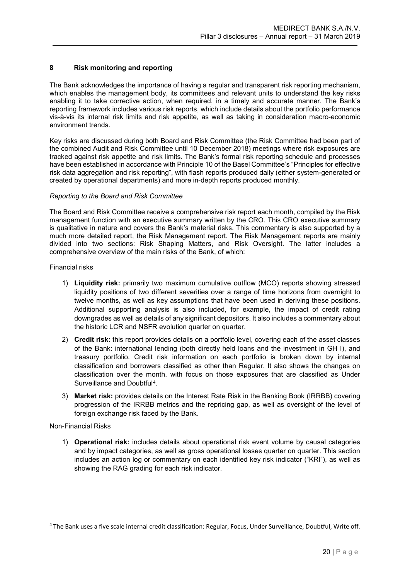### <span id="page-20-0"></span>**8 Risk monitoring and reporting**

The Bank acknowledges the importance of having a regular and transparent risk reporting mechanism, which enables the management body, its committees and relevant units to understand the key risks enabling it to take corrective action, when required, in a timely and accurate manner. The Bank's reporting framework includes various risk reports, which include details about the portfolio performance vis-à-vis its internal risk limits and risk appetite, as well as taking in consideration macro-economic environment trends.

Key risks are discussed during both Board and Risk Committee (the Risk Committee had been part of the combined Audit and Risk Committee until 10 December 2018) meetings where risk exposures are tracked against risk appetite and risk limits. The Bank's formal risk reporting schedule and processes have been established in accordance with Principle 10 of the Basel Committee's "Principles for effective risk data aggregation and risk reporting", with flash reports produced daily (either system-generated or created by operational departments) and more in-depth reports produced monthly.

### *Reporting to the Board and Risk Committee*

The Board and Risk Committee receive a comprehensive risk report each month, compiled by the Risk management function with an executive summary written by the CRO. This CRO executive summary is qualitative in nature and covers the Bank's material risks. This commentary is also supported by a much more detailed report, the Risk Management report. The Risk Management reports are mainly divided into two sections: Risk Shaping Matters, and Risk Oversight. The latter includes a comprehensive overview of the main risks of the Bank, of which:

### Financial risks

- 1) **Liquidity risk:** primarily two maximum cumulative outflow (MCO) reports showing stressed liquidity positions of two different severities over a range of time horizons from overnight to twelve months, as well as key assumptions that have been used in deriving these positions. Additional supporting analysis is also included, for example, the impact of credit rating downgrades as well as details of any significant depositors. It also includes a commentary about the historic LCR and NSFR evolution quarter on quarter.
- 2) **Credit risk:** this report provides details on a portfolio level, covering each of the asset classes of the Bank: international lending (both directly held loans and the investment in GH I), and treasury portfolio. Credit risk information on each portfolio is broken down by internal classification and borrowers classified as other than Regular. It also shows the changes on classification over the month, with focus on those exposures that are classified as Under Surveillance and Doubtful[4](#page-20-1).
- 3) **Market risk:** provides details on the Interest Rate Risk in the Banking Book (IRRBB) covering progression of the IRRBB metrics and the repricing gap, as well as oversight of the level of foreign exchange risk faced by the Bank.

### Non-Financial Risks

<u>.</u>

1) **Operational risk:** includes details about operational risk event volume by causal categories and by impact categories, as well as gross operational losses quarter on quarter. This section includes an action log or commentary on each identified key risk indicator ("KRI"), as well as showing the RAG grading for each risk indicator.

<span id="page-20-1"></span><sup>4</sup> The Bank uses a five scale internal credit classification: Regular, Focus, Under Surveillance, Doubtful, Write off.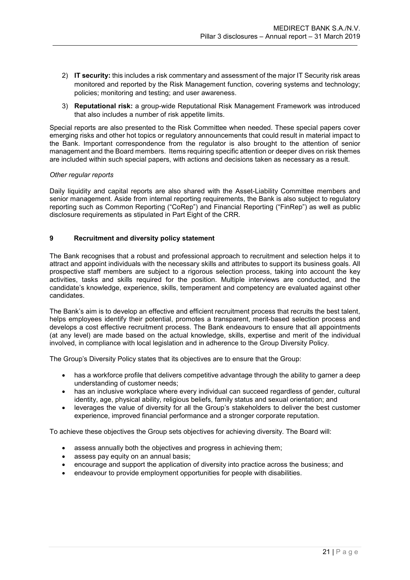- 2) **IT security:** this includes a risk commentary and assessment of the major IT Security risk areas monitored and reported by the Risk Management function, covering systems and technology; policies; monitoring and testing; and user awareness.
- 3) **Reputational risk:** a group-wide Reputational Risk Management Framework was introduced that also includes a number of risk appetite limits.

Special reports are also presented to the Risk Committee when needed. These special papers cover emerging risks and other hot topics or regulatory announcements that could result in material impact to the Bank. Important correspondence from the regulator is also brought to the attention of senior management and the Board members. Items requiring specific attention or deeper dives on risk themes are included within such special papers, with actions and decisions taken as necessary as a result.

### *Other regular reports*

Daily liquidity and capital reports are also shared with the Asset-Liability Committee members and senior management. Aside from internal reporting requirements, the Bank is also subject to regulatory reporting such as Common Reporting ("CoRep") and Financial Reporting ("FinRep") as well as public disclosure requirements as stipulated in Part Eight of the CRR.

### <span id="page-21-0"></span>**9 Recruitment and diversity policy statement**

The Bank recognises that a robust and professional approach to recruitment and selection helps it to attract and appoint individuals with the necessary skills and attributes to support its business goals. All prospective staff members are subject to a rigorous selection process, taking into account the key activities, tasks and skills required for the position. Multiple interviews are conducted, and the candidate's knowledge, experience, skills, temperament and competency are evaluated against other candidates.

The Bank's aim is to develop an effective and efficient recruitment process that recruits the best talent, helps employees identify their potential, promotes a transparent, merit-based selection process and develops a cost effective recruitment process. The Bank endeavours to ensure that all appointments (at any level) are made based on the actual knowledge, skills, expertise and merit of the individual involved, in compliance with local legislation and in adherence to the Group Diversity Policy.

The Group's Diversity Policy states that its objectives are to ensure that the Group:

- has a workforce profile that delivers competitive advantage through the ability to garner a deep understanding of customer needs;
- has an inclusive workplace where every individual can succeed regardless of gender, cultural identity, age, physical ability, religious beliefs, family status and sexual orientation; and
- leverages the value of diversity for all the Group's stakeholders to deliver the best customer experience, improved financial performance and a stronger corporate reputation.

To achieve these objectives the Group sets objectives for achieving diversity. The Board will:

- assess annually both the objectives and progress in achieving them;
- assess pay equity on an annual basis;
- encourage and support the application of diversity into practice across the business; and
- endeavour to provide employment opportunities for people with disabilities.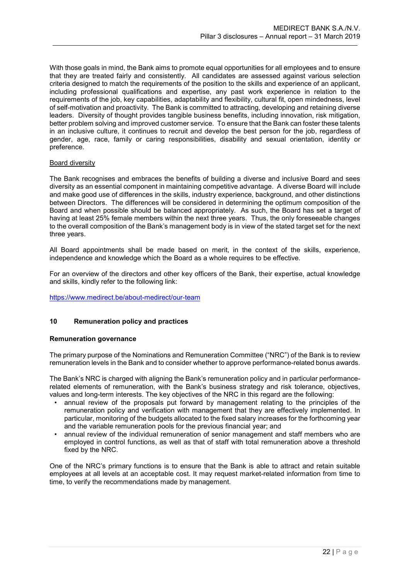With those goals in mind, the Bank aims to promote equal opportunities for all employees and to ensure that they are treated fairly and consistently. All candidates are assessed against various selection criteria designed to match the requirements of the position to the skills and experience of an applicant, including professional qualifications and expertise, any past work experience in relation to the requirements of the job, key capabilities, adaptability and flexibility, cultural fit, open mindedness, level of self-motivation and proactivity. The Bank is committed to attracting, developing and retaining diverse leaders. Diversity of thought provides tangible business benefits, including innovation, risk mitigation, better problem solving and improved customer service. To ensure that the Bank can foster these talents in an inclusive culture, it continues to recruit and develop the best person for the job, regardless of gender, age, race, family or caring responsibilities, disability and sexual orientation, identity or preference.

### Board diversity

The Bank recognises and embraces the benefits of building a diverse and inclusive Board and sees diversity as an essential component in maintaining competitive advantage. A diverse Board will include and make good use of differences in the skills, industry experience, background, and other distinctions between Directors. The differences will be considered in determining the optimum composition of the Board and when possible should be balanced appropriately. As such, the Board has set a target of having at least 25% female members within the next three years. Thus, the only foreseeable changes to the overall composition of the Bank's management body is in view of the stated target set for the next three years.

All Board appointments shall be made based on merit, in the context of the skills, experience, independence and knowledge which the Board as a whole requires to be effective.

For an overview of the directors and other key officers of the Bank, their expertise, actual knowledge and skills, kindly refer to the following link:

<https://www.medirect.be/about-medirect/our-team>

### <span id="page-22-0"></span>**10 Remuneration policy and practices**

### **Remuneration governance**

The primary purpose of the Nominations and Remuneration Committee ("NRC") of the Bank is to review remuneration levels in the Bank and to consider whether to approve performance-related bonus awards.

The Bank's NRC is charged with aligning the Bank's remuneration policy and in particular performancerelated elements of remuneration, with the Bank's business strategy and risk tolerance, objectives, values and long-term interests. The key objectives of the NRC in this regard are the following:

- annual review of the proposals put forward by management relating to the principles of the remuneration policy and verification with management that they are effectively implemented. In particular, monitoring of the budgets allocated to the fixed salary increases for the forthcoming year and the variable remuneration pools for the previous financial year; and
- annual review of the individual remuneration of senior management and staff members who are employed in control functions, as well as that of staff with total remuneration above a threshold fixed by the NRC.

One of the NRC's primary functions is to ensure that the Bank is able to attract and retain suitable employees at all levels at an acceptable cost. It may request market-related information from time to time, to verify the recommendations made by management.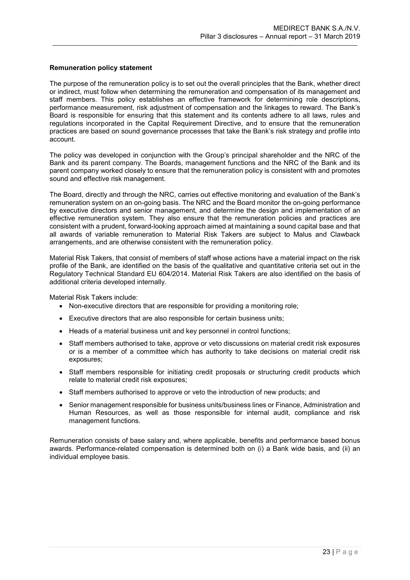### **Remuneration policy statement**

The purpose of the remuneration policy is to set out the overall principles that the Bank, whether direct or indirect, must follow when determining the remuneration and compensation of its management and staff members. This policy establishes an effective framework for determining role descriptions, performance measurement, risk adjustment of compensation and the linkages to reward. The Bank's Board is responsible for ensuring that this statement and its contents adhere to all laws, rules and regulations incorporated in the Capital Requirement Directive, and to ensure that the remuneration practices are based on sound governance processes that take the Bank's risk strategy and profile into account.

The policy was developed in conjunction with the Group's principal shareholder and the NRC of the Bank and its parent company. The Boards, management functions and the NRC of the Bank and its parent company worked closely to ensure that the remuneration policy is consistent with and promotes sound and effective risk management.

The Board, directly and through the NRC, carries out effective monitoring and evaluation of the Bank's remuneration system on an on-going basis. The NRC and the Board monitor the on-going performance by executive directors and senior management, and determine the design and implementation of an effective remuneration system. They also ensure that the remuneration policies and practices are consistent with a prudent, forward-looking approach aimed at maintaining a sound capital base and that all awards of variable remuneration to Material Risk Takers are subject to Malus and Clawback arrangements, and are otherwise consistent with the remuneration policy.

Material Risk Takers, that consist of members of staff whose actions have a material impact on the risk profile of the Bank, are identified on the basis of the qualitative and quantitative criteria set out in the Regulatory Technical Standard EU 604/2014. Material Risk Takers are also identified on the basis of additional criteria developed internally.

Material Risk Takers include:

- Non-executive directors that are responsible for providing a monitoring role;
- Executive directors that are also responsible for certain business units;
- Heads of a material business unit and key personnel in control functions;
- Staff members authorised to take, approve or veto discussions on material credit risk exposures or is a member of a committee which has authority to take decisions on material credit risk exposures;
- Staff members responsible for initiating credit proposals or structuring credit products which relate to material credit risk exposures;
- Staff members authorised to approve or veto the introduction of new products; and
- Senior management responsible for business units/business lines or Finance, Administration and Human Resources, as well as those responsible for internal audit, compliance and risk management functions.

Remuneration consists of base salary and, where applicable, benefits and performance based bonus awards. Performance-related compensation is determined both on (i) a Bank wide basis, and (ii) an individual employee basis.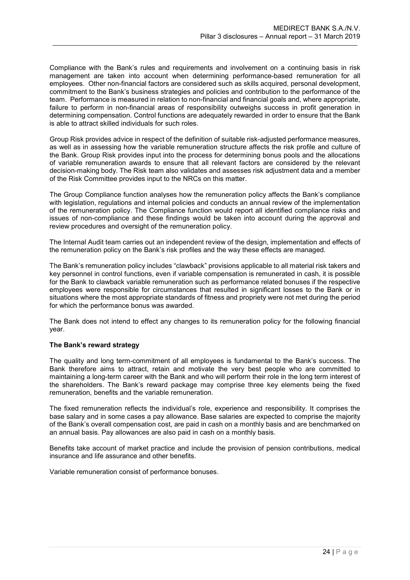Compliance with the Bank's rules and requirements and involvement on a continuing basis in risk management are taken into account when determining performance-based remuneration for all employees. Other non-financial factors are considered such as skills acquired, personal development, commitment to the Bank's business strategies and policies and contribution to the performance of the team. Performance is measured in relation to non-financial and financial goals and, where appropriate, failure to perform in non-financial areas of responsibility outweighs success in profit generation in determining compensation. Control functions are adequately rewarded in order to ensure that the Bank is able to attract skilled individuals for such roles.

Group Risk provides advice in respect of the definition of suitable risk-adjusted performance measures, as well as in assessing how the variable remuneration structure affects the risk profile and culture of the Bank. Group Risk provides input into the process for determining bonus pools and the allocations of variable remuneration awards to ensure that all relevant factors are considered by the relevant decision-making body. The Risk team also validates and assesses risk adjustment data and a member of the Risk Committee provides input to the NRCs on this matter.

The Group Compliance function analyses how the remuneration policy affects the Bank's compliance with legislation, regulations and internal policies and conducts an annual review of the implementation of the remuneration policy. The Compliance function would report all identified compliance risks and issues of non-compliance and these findings would be taken into account during the approval and review procedures and oversight of the remuneration policy.

The Internal Audit team carries out an independent review of the design, implementation and effects of the remuneration policy on the Bank's risk profiles and the way these effects are managed.

The Bank's remuneration policy includes "clawback" provisions applicable to all material risk takers and key personnel in control functions, even if variable compensation is remunerated in cash, it is possible for the Bank to clawback variable remuneration such as performance related bonuses if the respective employees were responsible for circumstances that resulted in significant losses to the Bank or in situations where the most appropriate standards of fitness and propriety were not met during the period for which the performance bonus was awarded.

The Bank does not intend to effect any changes to its remuneration policy for the following financial year.

### **The Bank's reward strategy**

The quality and long term-commitment of all employees is fundamental to the Bank's success. The Bank therefore aims to attract, retain and motivate the very best people who are committed to maintaining a long-term career with the Bank and who will perform their role in the long term interest of the shareholders. The Bank's reward package may comprise three key elements being the fixed remuneration, benefits and the variable remuneration.

The fixed remuneration reflects the individual's role, experience and responsibility. It comprises the base salary and in some cases a pay allowance. Base salaries are expected to comprise the majority of the Bank's overall compensation cost, are paid in cash on a monthly basis and are benchmarked on an annual basis. Pay allowances are also paid in cash on a monthly basis.

Benefits take account of market practice and include the provision of pension contributions, medical insurance and life assurance and other benefits.

<span id="page-24-0"></span>Variable remuneration consist of performance bonuses.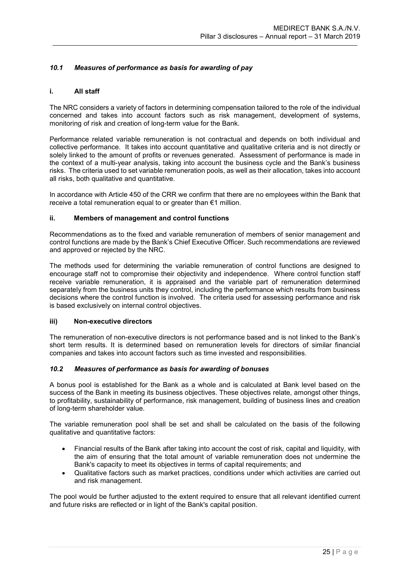## *10.1 Measures of performance as basis for awarding of pay*

### **i. All staff**

The NRC considers a variety of factors in determining compensation tailored to the role of the individual concerned and takes into account factors such as risk management, development of systems, monitoring of risk and creation of long-term value for the Bank.

Performance related variable remuneration is not contractual and depends on both individual and collective performance. It takes into account quantitative and qualitative criteria and is not directly or solely linked to the amount of profits or revenues generated. Assessment of performance is made in the context of a multi-year analysis, taking into account the business cycle and the Bank's business risks. The criteria used to set variable remuneration pools, as well as their allocation, takes into account all risks, both qualitative and quantitative.

In accordance with Article 450 of the CRR we confirm that there are no employees within the Bank that receive a total remuneration equal to or greater than €1 million.

### **ii. Members of management and control functions**

Recommendations as to the fixed and variable remuneration of members of senior management and control functions are made by the Bank's Chief Executive Officer. Such recommendations are reviewed and approved or rejected by the NRC.

The methods used for determining the variable remuneration of control functions are designed to encourage staff not to compromise their objectivity and independence. Where control function staff receive variable remuneration, it is appraised and the variable part of remuneration determined separately from the business units they control, including the performance which results from business decisions where the control function is involved. The criteria used for assessing performance and risk is based exclusively on internal control objectives.

### **iii) Non-executive directors**

The remuneration of non-executive directors is not performance based and is not linked to the Bank's short term results. It is determined based on remuneration levels for directors of similar financial companies and takes into account factors such as time invested and responsibilities.

### <span id="page-25-0"></span>*10.2 Measures of performance as basis for awarding of bonuses*

A bonus pool is established for the Bank as a whole and is calculated at Bank level based on the success of the Bank in meeting its business objectives. These objectives relate, amongst other things, to profitability, sustainability of performance, risk management, building of business lines and creation of long-term shareholder value.

The variable remuneration pool shall be set and shall be calculated on the basis of the following qualitative and quantitative factors:

- Financial results of the Bank after taking into account the cost of risk, capital and liquidity, with the aim of ensuring that the total amount of variable remuneration does not undermine the Bank's capacity to meet its objectives in terms of capital requirements; and
- Qualitative factors such as market practices, conditions under which activities are carried out and risk management.

The pool would be further adjusted to the extent required to ensure that all relevant identified current and future risks are reflected or in light of the Bank's capital position.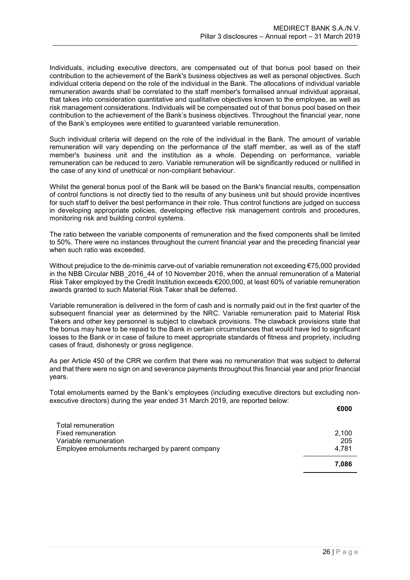Individuals, including executive directors, are compensated out of that bonus pool based on their contribution to the achievement of the Bank's business objectives as well as personal objectives. Such individual criteria depend on the role of the individual in the Bank. The allocations of individual variable remuneration awards shall be correlated to the staff member's formalised annual individual appraisal, that takes into consideration quantitative and qualitative objectives known to the employee, as well as risk management considerations. Individuals will be compensated out of that bonus pool based on their contribution to the achievement of the Bank's business objectives. Throughout the financial year, none of the Bank's employees were entitled to guaranteed variable remuneration.

Such individual criteria will depend on the role of the individual in the Bank. The amount of variable remuneration will vary depending on the performance of the staff member, as well as of the staff member's business unit and the institution as a whole. Depending on performance, variable remuneration can be reduced to zero. Variable remuneration will be significantly reduced or nullified in the case of any kind of unethical or non-compliant behaviour.

Whilst the general bonus pool of the Bank will be based on the Bank's financial results, compensation of control functions is not directly tied to the results of any business unit but should provide incentives for such staff to deliver the best performance in their role. Thus control functions are judged on success in developing appropriate policies, developing effective risk management controls and procedures, monitoring risk and building control systems.

The ratio between the variable components of remuneration and the fixed components shall be limited to 50%. There were no instances throughout the current financial year and the preceding financial year when such ratio was exceeded.

Without prejudice to the de-minimis carve-out of variable remuneration not exceeding €75,000 provided in the NBB Circular NBB 2016 44 of 10 November 2016, when the annual remuneration of a Material Risk Taker employed by the Credit Institution exceeds €200,000, at least 60% of variable remuneration awards granted to such Material Risk Taker shall be deferred.

Variable remuneration is delivered in the form of cash and is normally paid out in the first quarter of the subsequent financial year as determined by the NRC. Variable remuneration paid to Material Risk Takers and other key personnel is subject to clawback provisions. The clawback provisions state that the bonus may have to be repaid to the Bank in certain circumstances that would have led to significant losses to the Bank or in case of failure to meet appropriate standards of fitness and propriety, including cases of fraud, dishonesty or gross negligence.

As per Article 450 of the CRR we confirm that there was no remuneration that was subject to deferral and that there were no sign on and severance payments throughout this financial year and prior financial years.

Total emoluments earned by the Bank's employees (including executive directors but excluding nonexecutive directors) during the year ended 31 March 2019, are reported below:

|                                                 | €000  |
|-------------------------------------------------|-------|
| Total remuneration                              |       |
| Fixed remuneration                              | 2,100 |
| Variable remuneration                           | 205   |
| Employee emoluments recharged by parent company | 4.781 |
|                                                 | 7.086 |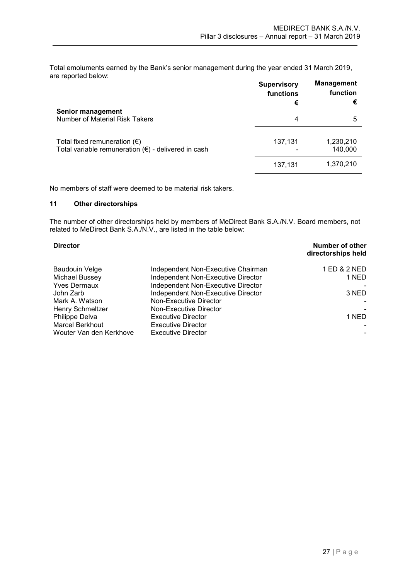Total emoluments earned by the Bank's senior management during the year ended 31 March 2019, are reported below:

|                                                                                                       | <b>Supervisory</b><br>functions<br>€ | <b>Management</b><br>function<br>€ |
|-------------------------------------------------------------------------------------------------------|--------------------------------------|------------------------------------|
| <b>Senior management</b><br>Number of Material Risk Takers                                            | 4                                    | 5                                  |
| Total fixed remuneration $(\epsilon)$<br>Total variable remuneration $(\epsilon)$ - delivered in cash | 137,131                              | 1,230,210<br>140,000               |
|                                                                                                       | 137,131                              | 1,370,210                          |

No members of staff were deemed to be material risk takers.

# <span id="page-27-0"></span>**11 Other directorships**

The number of other directorships held by members of MeDirect Bank S.A./N.V. Board members, not related to MeDirect Bank S.A./N.V., are listed in the table below:

| <b>Director</b>         |                                    | Number of other<br>directorships held |
|-------------------------|------------------------------------|---------------------------------------|
| <b>Baudouin Velge</b>   | Independent Non-Executive Chairman | 1 ED & 2 NED                          |
| Michael Bussey          | Independent Non-Executive Director | 1 NED                                 |
| <b>Yves Dermaux</b>     | Independent Non-Executive Director |                                       |
| John Zarb               | Independent Non-Executive Director | 3 NED                                 |
| Mark A. Watson          | Non-Executive Director             |                                       |
| <b>Henry Schmeltzer</b> | Non-Executive Director             |                                       |
| Philippe Delva          | <b>Executive Director</b>          | 1 NED                                 |
| <b>Marcel Berkhout</b>  | <b>Executive Director</b>          |                                       |
| Wouter Van den Kerkhove | Executive Director                 |                                       |
|                         |                                    |                                       |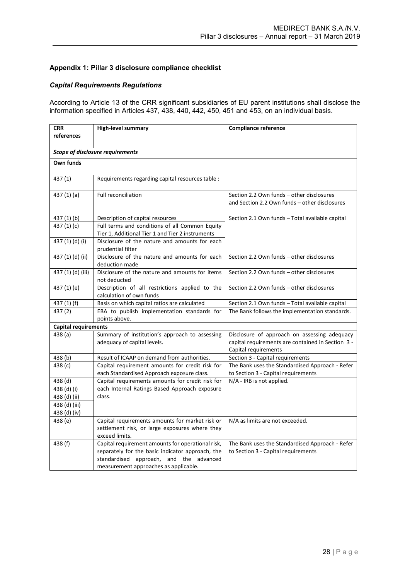### <span id="page-28-0"></span>**Appendix 1: Pillar 3 disclosure compliance checklist**

# *Capital Requirements Regulations*

According to Article 13 of the CRR significant subsidiaries of EU parent institutions shall disclose the information specified in Articles 437, 438, 440, 442, 450, 451 and 453, on an individual basis.

| <b>CRR</b>                  | <b>High-level summary</b>                                                                                                                                                                 | <b>Compliance reference</b>                                                                                               |
|-----------------------------|-------------------------------------------------------------------------------------------------------------------------------------------------------------------------------------------|---------------------------------------------------------------------------------------------------------------------------|
| references                  |                                                                                                                                                                                           |                                                                                                                           |
|                             | Scope of disclosure requirements                                                                                                                                                          |                                                                                                                           |
| Own funds                   |                                                                                                                                                                                           |                                                                                                                           |
| 437 (1)                     | Requirements regarding capital resources table :                                                                                                                                          |                                                                                                                           |
| 437 (1) (a)                 | Full reconciliation                                                                                                                                                                       | Section 2.2 Own funds - other disclosures<br>and Section 2.2 Own funds - other disclosures                                |
| 437 (1) (b)                 | Description of capital resources                                                                                                                                                          | Section 2.1 Own funds - Total available capital                                                                           |
| 437(1)(c)                   | Full terms and conditions of all Common Equity<br>Tier 1, Additional Tier 1 and Tier 2 instruments                                                                                        |                                                                                                                           |
| 437 (1) (d) (i)             | Disclosure of the nature and amounts for each<br>prudential filter                                                                                                                        |                                                                                                                           |
| 437 (1) (d) (ii)            | Disclosure of the nature and amounts for each<br>deduction made                                                                                                                           | Section 2.2 Own funds - other disclosures                                                                                 |
| 437 (1) (d) (iii)           | Disclosure of the nature and amounts for items<br>not deducted                                                                                                                            | Section 2.2 Own funds - other disclosures                                                                                 |
| 437 (1) (e)                 | Description of all restrictions applied to the<br>calculation of own funds                                                                                                                | Section 2.2 Own funds - other disclosures                                                                                 |
| 437 (1) (f)                 | Basis on which capital ratios are calculated                                                                                                                                              | Section 2.1 Own funds - Total available capital                                                                           |
| 437 (2)                     | EBA to publish implementation standards for<br>points above.                                                                                                                              | The Bank follows the implementation standards.                                                                            |
| <b>Capital requirements</b> |                                                                                                                                                                                           |                                                                                                                           |
| 438(a)                      | Summary of institution's approach to assessing<br>adequacy of capital levels.                                                                                                             | Disclosure of approach on assessing adequacy<br>capital requirements are contained in Section 3 -<br>Capital requirements |
| 438 (b)                     | Result of ICAAP on demand from authorities.                                                                                                                                               | Section 3 - Capital requirements                                                                                          |
| 438 (c)                     | Capital requirement amounts for credit risk for<br>each Standardised Approach exposure class.                                                                                             | The Bank uses the Standardised Approach - Refer<br>to Section 3 - Capital requirements                                    |
| 438 (d)                     | Capital requirements amounts for credit risk for                                                                                                                                          | $N/A$ - IRB is not applied.                                                                                               |
| 438 (d) (i)                 | each Internal Ratings Based Approach exposure                                                                                                                                             |                                                                                                                           |
| 438 (d) (ii)                | class.                                                                                                                                                                                    |                                                                                                                           |
| 438 (d) (iii)               |                                                                                                                                                                                           |                                                                                                                           |
| 438 (d) (iv)                |                                                                                                                                                                                           |                                                                                                                           |
| 438 (e)                     | Capital requirements amounts for market risk or<br>settlement risk, or large exposures where they<br>exceed limits.                                                                       | N/A as limits are not exceeded.                                                                                           |
| 438 (f)                     | Capital requirement amounts for operational risk,<br>separately for the basic indicator approach, the<br>standardised approach, and the advanced<br>measurement approaches as applicable. | The Bank uses the Standardised Approach - Refer<br>to Section 3 - Capital requirements                                    |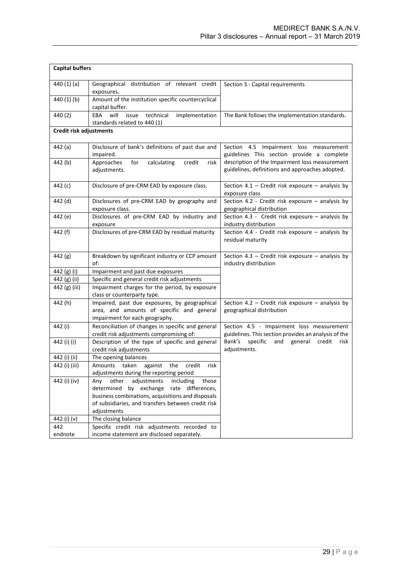| <b>Capital buffers</b>  |                                                                                                                                                                                                                               |                                                                                                   |
|-------------------------|-------------------------------------------------------------------------------------------------------------------------------------------------------------------------------------------------------------------------------|---------------------------------------------------------------------------------------------------|
| 440(1)(a)               | Geographical distribution of relevant credit<br>exposures.                                                                                                                                                                    | Section 3 - Capital requirements                                                                  |
| 440 (1) (b)             | Amount of the institution specific countercyclical<br>capital buffer.                                                                                                                                                         |                                                                                                   |
| 440 (2)                 | EBA<br>will<br>technical<br>implementation<br>issue<br>standards related to 440 (1)                                                                                                                                           | The Bank follows the implementation standards.                                                    |
| Credit risk adjustments |                                                                                                                                                                                                                               |                                                                                                   |
| 442 (a)                 | Disclosure of bank's definitions of past due and<br>impaired.                                                                                                                                                                 | Section 4.5 Impairment loss measurement<br>guidelines This section provide a complete             |
| 442 (b)                 | calculating<br>Approaches<br>for<br>credit<br>risk<br>adjustments.                                                                                                                                                            | description of the Impairment loss measurement<br>guidelines, definitions and approaches adopted. |
| 442 (c)                 | Disclosure of pre-CRM EAD by exposure class.                                                                                                                                                                                  | Section 4.1 - Credit risk exposure - analysis by<br>exposure class                                |
| 442 (d)                 | Disclosures of pre-CRM EAD by geography and<br>exposure class.                                                                                                                                                                | Section 4.2 - Credit risk exposure - analysis by<br>geographical distribution                     |
| 442 (e)                 | Disclosures of pre-CRM EAD by industry and<br>exposure                                                                                                                                                                        | Section 4.3 - Credit risk exposure - analysis by<br>industry distribution                         |
| 442 (f)                 | Disclosures of pre-CRM EAD by residual maturity                                                                                                                                                                               | Section 4.4 - Credit risk exposure - analysis by<br>residual maturity                             |
| 442 (g)                 | Breakdown by significant industry or CCP amount<br>of:                                                                                                                                                                        | Section 4.3 - Credit risk exposure - analysis by<br>industry distribution                         |
| 442 (g) (i)             | Impairment and past due exposures                                                                                                                                                                                             |                                                                                                   |
| 442 (g) (ii)            | Specific and general credit risk adjustments                                                                                                                                                                                  |                                                                                                   |
| 442 (g) (iii)           | Impairment charges for the period, by exposure<br>class or counterparty type.                                                                                                                                                 |                                                                                                   |
| 442 (h)                 | Impaired, past due exposures, by geographical<br>area, and amounts of specific and general<br>impairment for each geography.                                                                                                  | Section 4.2 - Credit risk exposure - analysis by<br>geographical distribution                     |
| 442 (i)                 | Reconciliation of changes in specific and general<br>credit risk adjustments compromising of:                                                                                                                                 | Section 4.5 - Impairment loss measurement<br>guidelines. This section provides an analysis of the |
| 442 (i) (i)             | Description of the type of specific and general<br>credit risk adjustments                                                                                                                                                    | specific<br>Bank's<br>and general credit<br>risk<br>adjustments.                                  |
| 442 (i) (ii)            | The opening balances                                                                                                                                                                                                          |                                                                                                   |
| 442 (i) (iii)           | Amounts taken against the<br>credit<br>risk<br>adjustments during the reporting period                                                                                                                                        |                                                                                                   |
| 442 (i) (iv)            | other<br>adjustments<br>including<br>those<br>Any<br>determined<br>by exchange<br>rate differences,<br>business combinations, acquisitions and disposals<br>of subsidiaries, and transfers between credit risk<br>adjustments |                                                                                                   |
| 442 (i) (v)             | The closing balance                                                                                                                                                                                                           |                                                                                                   |
| 442                     | Specific credit risk adjustments recorded to                                                                                                                                                                                  |                                                                                                   |
| endnote                 | income statement are disclosed separately.                                                                                                                                                                                    |                                                                                                   |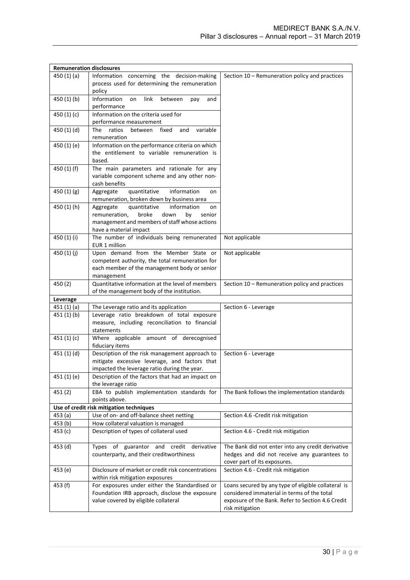| <b>Remuneration disclosures</b> |                                                                                                 |                                                     |
|---------------------------------|-------------------------------------------------------------------------------------------------|-----------------------------------------------------|
| 450(1)(a)                       | Information concerning the decision-making                                                      | Section 10 - Remuneration policy and practices      |
|                                 | process used for determining the remuneration                                                   |                                                     |
|                                 | policy                                                                                          |                                                     |
| 450 (1) (b)                     | Information<br>link<br>between<br>on<br>and<br>pay                                              |                                                     |
|                                 | performance                                                                                     |                                                     |
| 450 (1) (c)                     | Information on the criteria used for                                                            |                                                     |
|                                 | performance measurement                                                                         |                                                     |
| 450 (1) (d)                     | variable<br>The<br>ratios<br>between<br>fixed<br>and                                            |                                                     |
|                                 | remuneration                                                                                    |                                                     |
| 450 (1) (e)                     | Information on the performance criteria on which<br>the entitlement to variable remuneration is |                                                     |
|                                 | based.                                                                                          |                                                     |
| 450 (1) (f)                     | The main parameters and rationale for any                                                       |                                                     |
|                                 | variable component scheme and any other non-                                                    |                                                     |
|                                 | cash benefits                                                                                   |                                                     |
| 450 $(1)(g)$                    | quantitative<br>information<br>Aggregate<br>on                                                  |                                                     |
|                                 | remuneration, broken down by business area                                                      |                                                     |
| 450 (1) (h)                     | quantitative<br>information<br>Aggregate<br>on                                                  |                                                     |
|                                 | remuneration,<br>broke<br>down<br>by<br>senior                                                  |                                                     |
|                                 | management and members of staff whose actions                                                   |                                                     |
|                                 | have a material impact                                                                          |                                                     |
| 450 (1) (i)                     | The number of individuals being remunerated<br>EUR 1 million                                    | Not applicable                                      |
| 450 (1) (j)                     | Upon demand from the Member State or                                                            | Not applicable                                      |
|                                 | competent authority, the total remuneration for                                                 |                                                     |
|                                 | each member of the management body or senior                                                    |                                                     |
|                                 | management                                                                                      |                                                     |
| 450 (2)                         | Quantitative information at the level of members                                                | Section 10 - Remuneration policy and practices      |
|                                 | of the management body of the institution.                                                      |                                                     |
| Leverage                        |                                                                                                 |                                                     |
| 451 (1) (a)                     | The Leverage ratio and its application                                                          | Section 6 - Leverage                                |
| 451 (1) (b)                     | Leverage ratio breakdown of total exposure<br>measure, including reconciliation to financial    |                                                     |
|                                 | statements                                                                                      |                                                     |
| 451 $(1)(c)$                    | Where applicable amount of derecognised                                                         |                                                     |
|                                 | fiduciary items                                                                                 |                                                     |
| 451 (1) (d)                     | Description of the risk management approach to                                                  | Section 6 - Leverage                                |
|                                 | mitigate excessive leverage, and factors that                                                   |                                                     |
|                                 | impacted the leverage ratio during the year.                                                    |                                                     |
| 451 (1) (e)                     | Description of the factors that had an impact on                                                |                                                     |
|                                 | the leverage ratio                                                                              |                                                     |
| 451 (2)                         | EBA to publish implementation standards for                                                     | The Bank follows the implementation standards       |
|                                 | points above.                                                                                   |                                                     |
|                                 | Use of credit risk mitigation techniques                                                        |                                                     |
| 453 (a)<br>453 (b)              | Use of on- and off-balance sheet netting<br>How collateral valuation is managed                 | Section 4.6 - Credit risk mitigation                |
| 453 (c)                         | Description of types of collateral used                                                         | Section 4.6 - Credit risk mitigation                |
|                                 |                                                                                                 |                                                     |
| 453 (d)                         | Types of guarantor and credit derivative                                                        | The Bank did not enter into any credit derivative   |
|                                 | counterparty, and their creditworthiness                                                        | hedges and did not receive any guarantees to        |
|                                 |                                                                                                 | cover part of its exposures.                        |
| 453 (e)                         | Disclosure of market or credit risk concentrations                                              | Section 4.6 - Credit risk mitigation                |
|                                 | within risk mitigation exposures                                                                |                                                     |
| 453 (f)                         | For exposures under either the Standardised or                                                  | Loans secured by any type of eligible collateral is |
|                                 | Foundation IRB approach, disclose the exposure                                                  | considered immaterial in terms of the total         |
|                                 | value covered by eligible collateral                                                            | exposure of the Bank. Refer to Section 4.6 Credit   |
|                                 |                                                                                                 | risk mitigation                                     |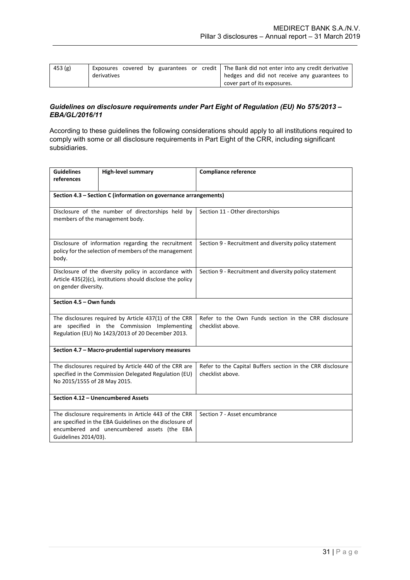| 453 (g) |             |  |  | Exposures covered by guarantees or credit The Bank did not enter into any credit derivative |
|---------|-------------|--|--|---------------------------------------------------------------------------------------------|
|         | derivatives |  |  | hedges and did not receive any guarantees to                                                |
|         |             |  |  | cover part of its exposures.                                                                |

### *Guidelines on disclosure requirements under Part Eight of Regulation (EU) No 575/2013 – EBA/GL/2016/11*

According to these guidelines the following considerations should apply to all institutions required to comply with some or all disclosure requirements in Part Eight of the CRR, including significant subsidiaries.

| <b>Guidelines</b><br>references                                                                                                                                                          | <b>High-level summary</b>                                                                                    | <b>Compliance reference</b>                                                    |  |  |  |
|------------------------------------------------------------------------------------------------------------------------------------------------------------------------------------------|--------------------------------------------------------------------------------------------------------------|--------------------------------------------------------------------------------|--|--|--|
|                                                                                                                                                                                          |                                                                                                              |                                                                                |  |  |  |
|                                                                                                                                                                                          | Section 4.3 - Section C (information on governance arrangements)                                             |                                                                                |  |  |  |
| Disclosure of the number of directorships held by<br>members of the management body.                                                                                                     |                                                                                                              | Section 11 - Other directorships                                               |  |  |  |
| body.                                                                                                                                                                                    | Disclosure of information regarding the recruitment<br>policy for the selection of members of the management | Section 9 - Recruitment and diversity policy statement                         |  |  |  |
| Disclosure of the diversity policy in accordance with<br>Article $435(2)(c)$ , institutions should disclose the policy<br>on gender diversity.                                           |                                                                                                              | Section 9 - Recruitment and diversity policy statement                         |  |  |  |
|                                                                                                                                                                                          | Section 4.5 - Own funds                                                                                      |                                                                                |  |  |  |
| The disclosures required by Article 437(1) of the CRR<br>are specified in the Commission Implementing<br>Regulation (EU) No 1423/2013 of 20 December 2013.                               |                                                                                                              | Refer to the Own Funds section in the CRR disclosure<br>checklist above.       |  |  |  |
| Section 4.7 - Macro-prudential supervisory measures                                                                                                                                      |                                                                                                              |                                                                                |  |  |  |
| The disclosures required by Article 440 of the CRR are<br>specified in the Commission Delegated Regulation (EU)<br>No 2015/1555 of 28 May 2015.                                          |                                                                                                              | Refer to the Capital Buffers section in the CRR disclosure<br>checklist above. |  |  |  |
| Section 4.12 - Unencumbered Assets                                                                                                                                                       |                                                                                                              |                                                                                |  |  |  |
| The disclosure requirements in Article 443 of the CRR<br>are specified in the EBA Guidelines on the disclosure of<br>encumbered and unencumbered assets (the EBA<br>Guidelines 2014/03). |                                                                                                              | Section 7 - Asset encumbrance                                                  |  |  |  |